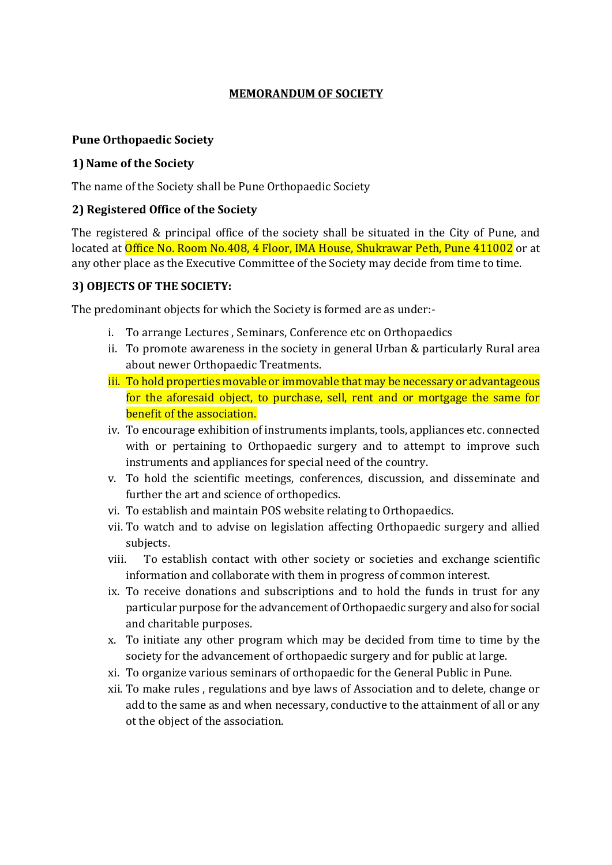# MEMORANDUM OF SOCIETY

#### Pune Orthopaedic Society

#### 1) Name of the Society

The name of the Society shall be Pune Orthopaedic Society

#### 2) Registered Office of the Society

The registered & principal office of the society shall be situated in the City of Pune, and located at Office No. Room No.408, 4 Floor, IMA House, Shukrawar Peth, Pune 411002 or at any other place as the Executive Committee of the Society may decide from time to time.

#### 3) OBJECTS OF THE SOCIETY:

The predominant objects for which the Society is formed are as under:-

- i. To arrange Lectures , Seminars, Conference etc on Orthopaedics
- ii. To promote awareness in the society in general Urban & particularly Rural area about newer Orthopaedic Treatments.
- iii. To hold properties movable or immovable that may be necessary or advantageous for the aforesaid object, to purchase, sell, rent and or mortgage the same for benefit of the association.
- iv. To encourage exhibition of instruments implants, tools, appliances etc. connected with or pertaining to Orthopaedic surgery and to attempt to improve such instruments and appliances for special need of the country.
- v. To hold the scientific meetings, conferences, discussion, and disseminate and further the art and science of orthopedics.
- vi. To establish and maintain POS website relating to Orthopaedics.
- vii. To watch and to advise on legislation affecting Orthopaedic surgery and allied subjects.
- viii. To establish contact with other society or societies and exchange scientific information and collaborate with them in progress of common interest.
- ix. To receive donations and subscriptions and to hold the funds in trust for any particular purpose for the advancement of Orthopaedic surgery and also for social and charitable purposes.
- x. To initiate any other program which may be decided from time to time by the society for the advancement of orthopaedic surgery and for public at large.
- xi. To organize various seminars of orthopaedic for the General Public in Pune.
- xii. To make rules , regulations and bye laws of Association and to delete, change or add to the same as and when necessary, conductive to the attainment of all or any ot the object of the association.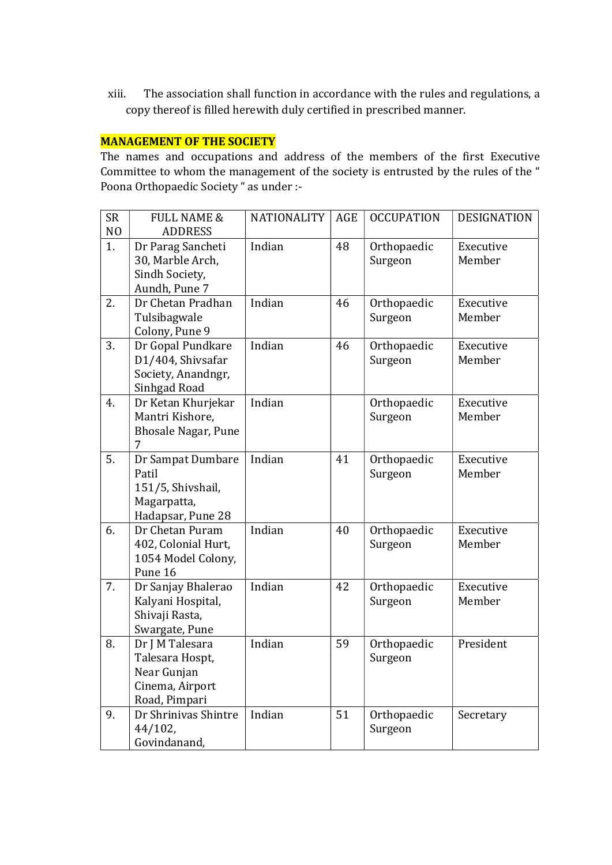xiii. The association shall function in accordance with the rules and regulations, a copy thereof is filled herewith duly certified in prescribed manner.

#### MANAGEMENT OF THE SOCIETY

The names and occupations and address of the members of the first Executive Committee to whom the management of the society is entrusted by the rules of the " Poona Orthopaedic Society " as under :-

| <b>SR</b><br>N <sub>O</sub> | <b>FULL NAME &amp;</b><br><b>ADDRESS</b>                                              | <b>NATIONALITY</b> | AGE | <b>OCCUPATION</b>      | <b>DESIGNATION</b>  |
|-----------------------------|---------------------------------------------------------------------------------------|--------------------|-----|------------------------|---------------------|
| 1.                          | Dr Parag Sancheti<br>30, Marble Arch,<br>Sindh Society,<br>Aundh, Pune 7              | Indian             | 48  | Orthopaedic<br>Surgeon | Executive<br>Member |
| 2.                          | Dr Chetan Pradhan<br>Tulsibagwale<br>Colony, Pune 9                                   | Indian             | 46  | Orthopaedic<br>Surgeon | Executive<br>Member |
| 3.                          | Dr Gopal Pundkare<br>D1/404, Shivsafar<br>Society, Anandngr,<br>Sinhgad Road          | Indian             | 46  | Orthopaedic<br>Surgeon | Executive<br>Member |
| 4.                          | Dr Ketan Khurjekar<br>Mantri Kishore,<br><b>Bhosale Nagar, Pune</b><br>7              | Indian             |     | Orthopaedic<br>Surgeon | Executive<br>Member |
| 5.                          | Dr Sampat Dumbare<br>Patil<br>151/5, Shivshail,<br>Magarpatta,<br>Hadapsar, Pune 28   | Indian             | 41  | Orthopaedic<br>Surgeon | Executive<br>Member |
| 6.                          | Dr Chetan Puram<br>402, Colonial Hurt,<br>1054 Model Colony,<br>Pune 16               | Indian             | 40  | Orthopaedic<br>Surgeon | Executive<br>Member |
| 7.                          | Dr Sanjay Bhalerao<br>Kalyani Hospital,<br>Shivaji Rasta,<br>Swargate, Pune           | Indian             | 42  | Orthopaedic<br>Surgeon | Executive<br>Member |
| 8.                          | Dr J M Talesara<br>Talesara Hospt,<br>Near Gunjan<br>Cinema, Airport<br>Road, Pimpari | Indian             | 59  | Orthopaedic<br>Surgeon | President           |
| 9.                          | Dr Shrinivas Shintre<br>$44/102$ ,<br>Govindanand,                                    | Indian             | 51  | Orthopaedic<br>Surgeon | Secretary           |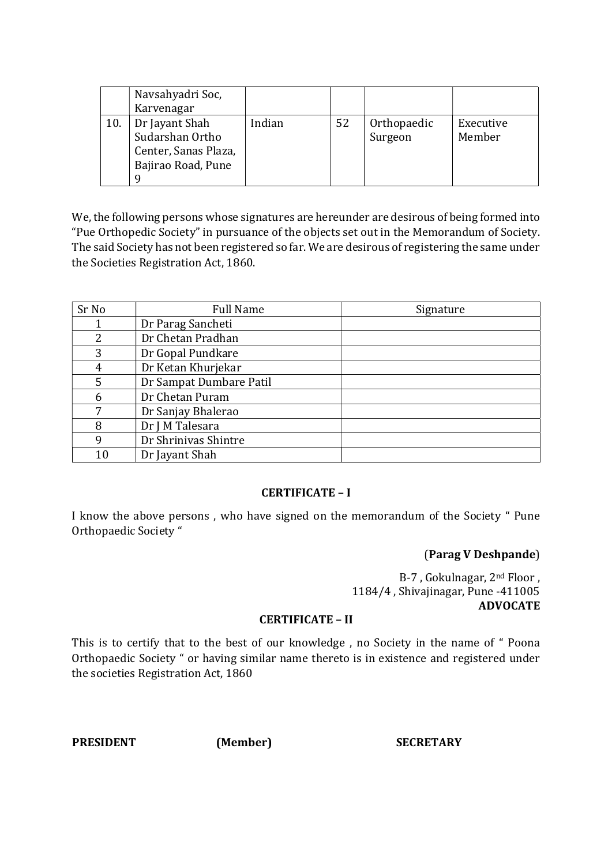| Navsahyadri Soc,<br>Karvenagar                                                       |        |    |                        |                     |
|--------------------------------------------------------------------------------------|--------|----|------------------------|---------------------|
| Dr Jayant Shah<br>Sudarshan Ortho<br>Center, Sanas Plaza,<br>Bajirao Road, Pune<br>Q | Indian | 52 | Orthopaedic<br>Surgeon | Executive<br>Member |

We, the following persons whose signatures are hereunder are desirous of being formed into "Pue Orthopedic Society" in pursuance of the objects set out in the Memorandum of Society. The said Society has not been registered so far. We are desirous of registering the same under the Societies Registration Act, 1860.

| Sr No | <b>Full Name</b>        | Signature |
|-------|-------------------------|-----------|
|       | Dr Parag Sancheti       |           |
| 2     | Dr Chetan Pradhan       |           |
| 3     | Dr Gopal Pundkare       |           |
| 4     | Dr Ketan Khurjekar      |           |
| 5     | Dr Sampat Dumbare Patil |           |
| 6     | Dr Chetan Puram         |           |
| 7     | Dr Sanjay Bhalerao      |           |
| 8     | Dr J M Talesara         |           |
| 9     | Dr Shrinivas Shintre    |           |
| 10    | Dr Jayant Shah          |           |

#### CERTIFICATE – I

I know the above persons , who have signed on the memorandum of the Society " Pune Orthopaedic Society "

# (Parag V Deshpande)

B-7 , Gokulnagar, 2nd Floor , 1184/4 , Shivajinagar, Pune -411005 ADVOCATE

#### CERTIFICATE – II

This is to certify that to the best of our knowledge , no Society in the name of " Poona Orthopaedic Society " or having similar name thereto is in existence and registered under the societies Registration Act, 1860

PRESIDENT (Member) SECRETARY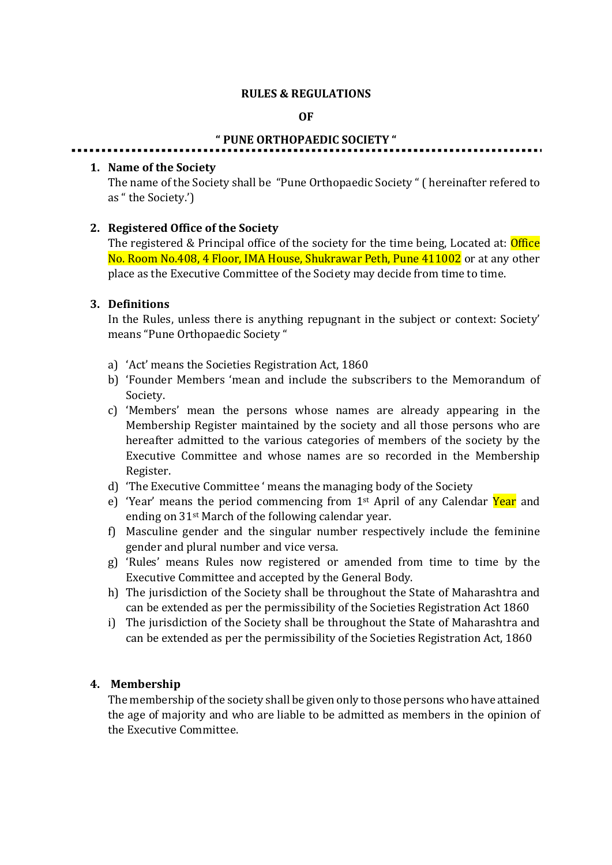#### RULES & REGULATIONS

#### OF

#### " PUNE ORTHOPAEDIC SOCIETY "

#### 1. Name of the Society

The name of the Society shall be "Pune Orthopaedic Society " ( hereinafter refered to as " the Society.')

# 2. Registered Office of the Society

The registered & Principal office of the society for the time being, Located at: **Office** No. Room No.408, 4 Floor, IMA House, Shukrawar Peth, Pune 411002 or at any other place as the Executive Committee of the Society may decide from time to time.

#### 3. Definitions

In the Rules, unless there is anything repugnant in the subject or context: Society' means "Pune Orthopaedic Society "

- a) 'Act' means the Societies Registration Act, 1860
- b) 'Founder Members 'mean and include the subscribers to the Memorandum of Society.
- c) 'Members' mean the persons whose names are already appearing in the Membership Register maintained by the society and all those persons who are hereafter admitted to the various categories of members of the society by the Executive Committee and whose names are so recorded in the Membership Register.
- d) 'The Executive Committee ' means the managing body of the Society
- e) 'Year' means the period commencing from  $1<sup>st</sup>$  April of any Calendar Year and ending on 31st March of the following calendar year.
- f) Masculine gender and the singular number respectively include the feminine gender and plural number and vice versa.
- g) 'Rules' means Rules now registered or amended from time to time by the Executive Committee and accepted by the General Body.
- h) The jurisdiction of the Society shall be throughout the State of Maharashtra and can be extended as per the permissibility of the Societies Registration Act 1860
- i) The jurisdiction of the Society shall be throughout the State of Maharashtra and can be extended as per the permissibility of the Societies Registration Act, 1860

#### 4. Membership

The membership of the society shall be given only to those persons who have attained the age of majority and who are liable to be admitted as members in the opinion of the Executive Committee.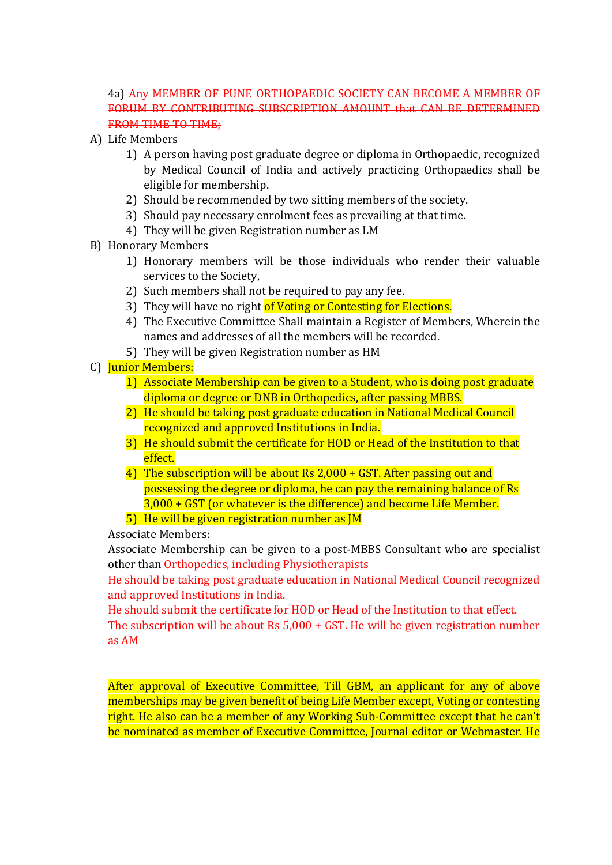# 4a) Any MEMBER OF PUNE ORTHOPAEDIC SOCIETY CAN BECOME A MEMBER OF FORUM BY CONTRIBUTING SUBSCRIPTION AMOUNT that CAN BE DETERMINED FROM TIME TO TIME:

- A) Life Members
	- 1) A person having post graduate degree or diploma in Orthopaedic, recognized by Medical Council of India and actively practicing Orthopaedics shall be eligible for membership.
	- 2) Should be recommended by two sitting members of the society.
	- 3) Should pay necessary enrolment fees as prevailing at that time.
	- 4) They will be given Registration number as LM
- B) Honorary Members
	- 1) Honorary members will be those individuals who render their valuable services to the Society,
	- 2) Such members shall not be required to pay any fee.
	- 3) They will have no right of Voting or Contesting for Elections.
	- 4) The Executive Committee Shall maintain a Register of Members, Wherein the names and addresses of all the members will be recorded.
	- 5) They will be given Registration number as HM
- C) Junior Members:
	- 1) Associate Membership can be given to a Student, who is doing post graduate diploma or degree or DNB in Orthopedics, after passing MBBS.
	- 2) He should be taking post graduate education in National Medical Council recognized and approved Institutions in India.
	- 3) He should submit the certificate for HOD or Head of the Institution to that effect.
	- 4) The subscription will be about Rs 2,000 + GST. After passing out and possessing the degree or diploma, he can pay the remaining balance of Rs 3,000 + GST (or whatever is the difference) and become Life Member.
	- 5) He will be given registration number as JM

Associate Members:

Associate Membership can be given to a post-MBBS Consultant who are specialist other than Orthopedics, including Physiotherapists

He should be taking post graduate education in National Medical Council recognized and approved Institutions in India.

He should submit the certificate for HOD or Head of the Institution to that effect. The subscription will be about Rs 5,000 + GST. He will be given registration number as AM

After approval of Executive Committee, Till GBM, an applicant for any of above memberships may be given benefit of being Life Member except, Voting or contesting right. He also can be a member of any Working Sub-Committee except that he can't be nominated as member of Executive Committee, Journal editor or Webmaster. He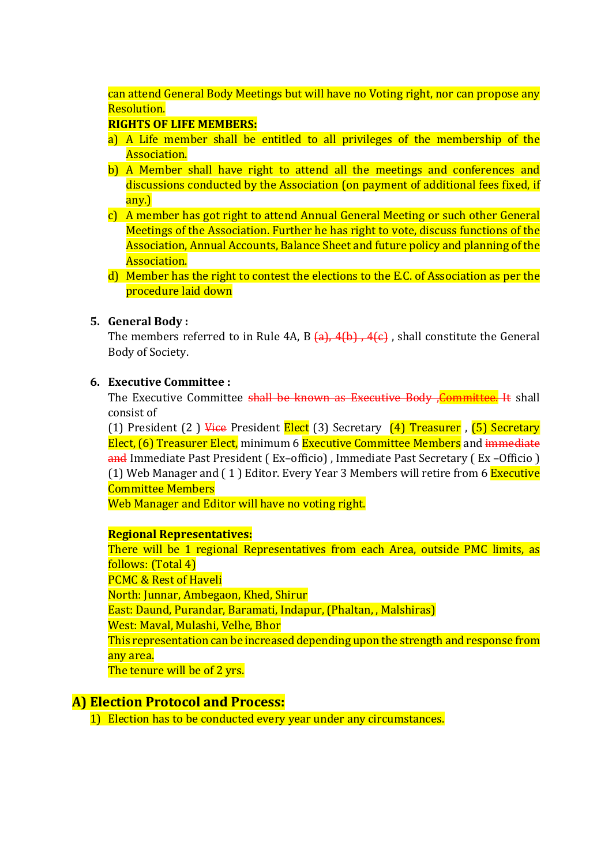can attend General Body Meetings but will have no Voting right, nor can propose any Resolution.

# RIGHTS OF LIFE MEMBERS:

- a) A Life member shall be entitled to all privileges of the membership of the Association.
- b) A Member shall have right to attend all the meetings and conferences and discussions conducted by the Association (on payment of additional fees fixed, if any.)
- c) A member has got right to attend Annual General Meeting or such other General Meetings of the Association. Further he has right to vote, discuss functions of the Association, Annual Accounts, Balance Sheet and future policy and planning of the Association.
- d) Member has the right to contest the elections to the E.C. of Association as per the procedure laid down

# 5. General Body :

The members referred to in Rule 4A, B  $\{a\}$ ,  $4\{b\}$ ,  $4\{\epsilon\}$ , shall constitute the General Body of Society.

# 6. Executive Committee :

The Executive Committee shall be known as Executive Body, Committee. It shall consist of

(1) President (2) Vice President Elect (3) Secretary  $(4)$  Treasurer, (5) Secretary Elect, (6) Treasurer Elect, minimum 6 Executive Committee Members and immediate and Immediate Past President ( Ex–officio) , Immediate Past Secretary ( Ex –Officio ) (1) Web Manager and (1) Editor. Every Year 3 Members will retire from 6 Executive Committee Members

Web Manager and Editor will have no voting right.

# Regional Representatives:

There will be 1 regional Representatives from each Area, outside PMC limits, as follows: (Total 4) PCMC & Rest of Haveli North: Junnar, Ambegaon, Khed, Shirur East: Daund, Purandar, Baramati, Indapur, (Phaltan, , Malshiras) West: Maval, Mulashi, Velhe, Bhor This representation can be increased depending upon the strength and response from any area. The tenure will be of 2 yrs.

# A) Election Protocol and Process:

1) Election has to be conducted every year under any circumstances.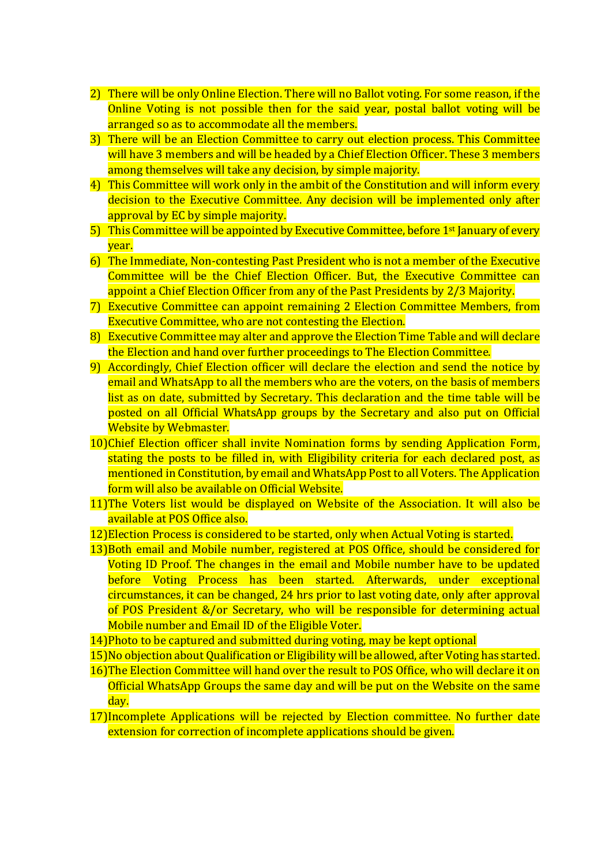- 2) There will be only Online Election. There will no Ballot voting. For some reason, if the Online Voting is not possible then for the said year, postal ballot voting will be arranged so as to accommodate all the members.
- 3) There will be an Election Committee to carry out election process. This Committee will have 3 members and will be headed by a Chief Election Officer. These 3 members among themselves will take any decision, by simple majority.
- 4) This Committee will work only in the ambit of the Constitution and will inform every decision to the Executive Committee. Any decision will be implemented only after approval by EC by simple majority.
- 5) This Committee will be appointed by Executive Committee, before 1<sup>st</sup> January of every year.
- 6) The Immediate, Non-contesting Past President who is not a member of the Executive Committee will be the Chief Election Officer. But, the Executive Committee can appoint a Chief Election Officer from any of the Past Presidents by 2/3 Majority.
- 7) Executive Committee can appoint remaining 2 Election Committee Members, from Executive Committee, who are not contesting the Election.
- 8) Executive Committee may alter and approve the Election Time Table and will declare the Election and hand over further proceedings to The Election Committee.
- 9) Accordingly, Chief Election officer will declare the election and send the notice by email and WhatsApp to all the members who are the voters, on the basis of members list as on date, submitted by Secretary. This declaration and the time table will be posted on all Official WhatsApp groups by the Secretary and also put on Official Website by Webmaster.
- 10)Chief Election officer shall invite Nomination forms by sending Application Form, stating the posts to be filled in, with Eligibility criteria for each declared post, as mentioned in Constitution, by email and WhatsApp Post to all Voters. The Application form will also be available on Official Website.
- 11)The Voters list would be displayed on Website of the Association. It will also be available at POS Office also.
- 12)Election Process is considered to be started, only when Actual Voting is started.
- 13)Both email and Mobile number, registered at POS Office, should be considered for Voting ID Proof. The changes in the email and Mobile number have to be updated before Voting Process has been started. Afterwards, under exceptional circumstances, it can be changed, 24 hrs prior to last voting date, only after approval of POS President &/or Secretary, who will be responsible for determining actual Mobile number and Email ID of the Eligible Voter.
- 14)Photo to be captured and submitted during voting, may be kept optional
- 15)No objection about Qualification or Eligibility will be allowed, after Voting has started.
- 16)The Election Committee will hand over the result to POS Office, who will declare it on Official WhatsApp Groups the same day and will be put on the Website on the same day.
- 17)Incomplete Applications will be rejected by Election committee. No further date extension for correction of incomplete applications should be given.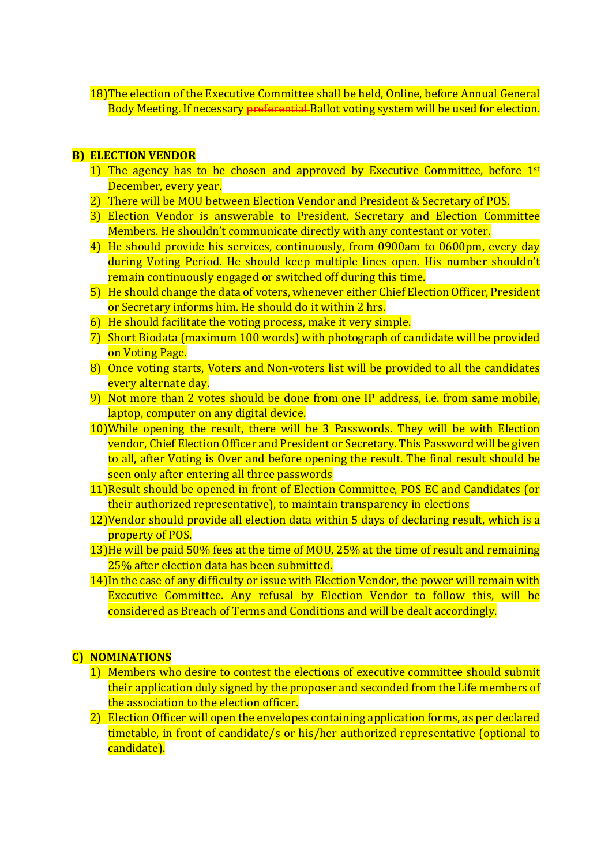18)The election of the Executive Committee shall be held, Online, before Annual General Body Meeting. If necessary preferential Ballot voting system will be used for election.

#### B) ELECTION VENDOR

- 1) The agency has to be chosen and approved by Executive Committee, before  $1<sup>st</sup>$ December, every year.
- 2) There will be MOU between Election Vendor and President & Secretary of POS.
- 3) Election Vendor is answerable to President, Secretary and Election Committee Members. He shouldn't communicate directly with any contestant or voter.
- 4) He should provide his services, continuously, from 0900am to 0600pm, every day during Voting Period. He should keep multiple lines open. His number shouldn't remain continuously engaged or switched off during this time.
- 5) He should change the data of voters, whenever either Chief Election Officer, President or Secretary informs him. He should do it within 2 hrs.
- 6) He should facilitate the voting process, make it very simple.
- 7) Short Biodata (maximum 100 words) with photograph of candidate will be provided on Voting Page.
- 8) Once voting starts, Voters and Non-voters list will be provided to all the candidates every alternate day.
- 9) Not more than 2 votes should be done from one IP address, i.e. from same mobile, laptop, computer on any digital device.
- 10)While opening the result, there will be 3 Passwords. They will be with Election vendor, Chief Election Officer and President or Secretary. This Password will be given to all, after Voting is Over and before opening the result. The final result should be seen only after entering all three passwords
- 11)Result should be opened in front of Election Committee, POS EC and Candidates (or their authorized representative), to maintain transparency in elections
- 12)Vendor should provide all election data within 5 days of declaring result, which is a property of POS.
- 13)He will be paid 50% fees at the time of MOU, 25% at the time of result and remaining 25% after election data has been submitted.
- 14)In the case of any difficulty or issue with Election Vendor, the power will remain with Executive Committee. Any refusal by Election Vendor to follow this, will be considered as Breach of Terms and Conditions and will be dealt accordingly.

# C) NOMINATIONS

- 1) Members who desire to contest the elections of executive committee should submit their application duly signed by the proposer and seconded from the Life members of the association to the election officer.
- 2) Election Officer will open the envelopes containing application forms, as per declared timetable, in front of candidate/s or his/her authorized representative (optional to candidate).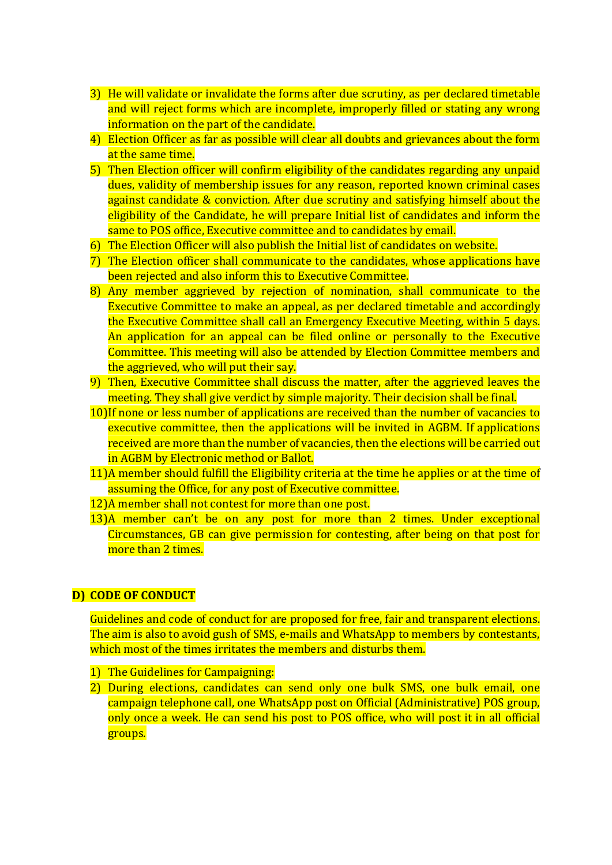- 3) He will validate or invalidate the forms after due scrutiny, as per declared timetable and will reject forms which are incomplete, improperly filled or stating any wrong information on the part of the candidate.
- 4) Election Officer as far as possible will clear all doubts and grievances about the form at the same time.
- 5) Then Election officer will confirm eligibility of the candidates regarding any unpaid dues, validity of membership issues for any reason, reported known criminal cases against candidate & conviction. After due scrutiny and satisfying himself about the eligibility of the Candidate, he will prepare Initial list of candidates and inform the same to POS office, Executive committee and to candidates by email.
- 6) The Election Officer will also publish the Initial list of candidates on website.
- 7) The Election officer shall communicate to the candidates, whose applications have been rejected and also inform this to Executive Committee.
- 8) Any member aggrieved by rejection of nomination, shall communicate to the Executive Committee to make an appeal, as per declared timetable and accordingly the Executive Committee shall call an Emergency Executive Meeting, within 5 days. An application for an appeal can be filed online or personally to the Executive Committee. This meeting will also be attended by Election Committee members and the aggrieved, who will put their say.
- 9) Then, Executive Committee shall discuss the matter, after the aggrieved leaves the meeting. They shall give verdict by simple majority. Their decision shall be final.
- 10)If none or less number of applications are received than the number of vacancies to executive committee, then the applications will be invited in AGBM. If applications received are more than the number of vacancies, then the elections will be carried out in AGBM by Electronic method or Ballot.
- 11)A member should fulfill the Eligibility criteria at the time he applies or at the time of assuming the Office, for any post of Executive committee.
- 12)A member shall not contest for more than one post.
- 13)A member can't be on any post for more than 2 times. Under exceptional Circumstances, GB can give permission for contesting, after being on that post for more than 2 times.

# D) CODE OF CONDUCT

Guidelines and code of conduct for are proposed for free, fair and transparent elections. The aim is also to avoid gush of SMS, e-mails and WhatsApp to members by contestants, which most of the times irritates the members and disturbs them.

- 1) The Guidelines for Campaigning:
- 2) During elections, candidates can send only one bulk SMS, one bulk email, one campaign telephone call, one WhatsApp post on Official (Administrative) POS group, only once a week. He can send his post to POS office, who will post it in all official groups.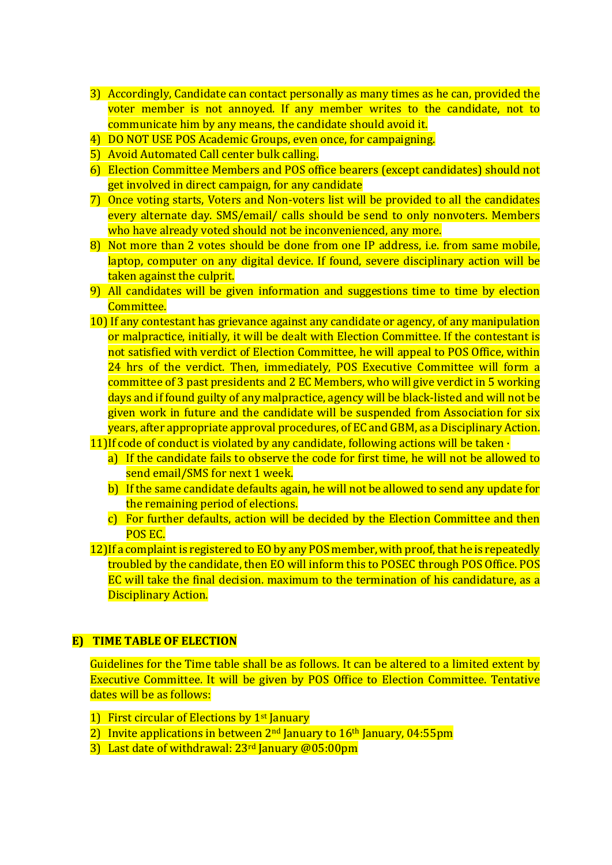- 3) Accordingly, Candidate can contact personally as many times as he can, provided the voter member is not annoyed. If any member writes to the candidate, not to communicate him by any means, the candidate should avoid it.
- 4) DO NOT USE POS Academic Groups, even once, for campaigning.
- 5) Avoid Automated Call center bulk calling.
- 6) Election Committee Members and POS office bearers (except candidates) should not get involved in direct campaign, for any candidate
- 7) Once voting starts, Voters and Non-voters list will be provided to all the candidates every alternate day. SMS/email/ calls should be send to only nonvoters. Members who have already voted should not be inconvenienced, any more.
- 8) Not more than 2 votes should be done from one IP address, i.e. from same mobile, laptop, computer on any digital device. If found, severe disciplinary action will be taken against the culprit.
- 9) All candidates will be given information and suggestions time to time by election Committee.
- 10) If any contestant has grievance against any candidate or agency, of any manipulation or malpractice, initially, it will be dealt with Election Committee. If the contestant is not satisfied with verdict of Election Committee, he will appeal to POS Office, within 24 hrs of the verdict. Then, immediately, POS Executive Committee will form a committee of 3 past presidents and 2 EC Members, who will give verdict in 5 working days and if found guilty of any malpractice, agency will be black-listed and will not be given work in future and the candidate will be suspended from Association for six years, after appropriate approval procedures, of EC and GBM, as a Disciplinary Action.
- 11) If code of conduct is violated by any candidate, following actions will be taken  $\cdot$ 
	- a) If the candidate fails to observe the code for first time, he will not be allowed to send email/SMS for next 1 week.
	- b) If the same candidate defaults again, he will not be allowed to send any update for the remaining period of elections.
	- c) For further defaults, action will be decided by the Election Committee and then POS EC.
- 12) If a complaint is registered to EO by any POS member, with proof, that he is repeatedly troubled by the candidate, then EO will inform this to POSEC through POS Office. POS EC will take the final decision. maximum to the termination of his candidature, as a Disciplinary Action.

#### E) TIME TABLE OF ELECTION

Guidelines for the Time table shall be as follows. It can be altered to a limited extent by Executive Committee. It will be given by POS Office to Election Committee. Tentative dates will be as follows:

- 1) First circular of Elections by 1<sup>st</sup> January
- 2) Invite applications in between  $2<sup>nd</sup>$  January to  $16<sup>th</sup>$  January, 04:55pm
- 3) Last date of withdrawal: 23<sup>rd</sup> January @05:00pm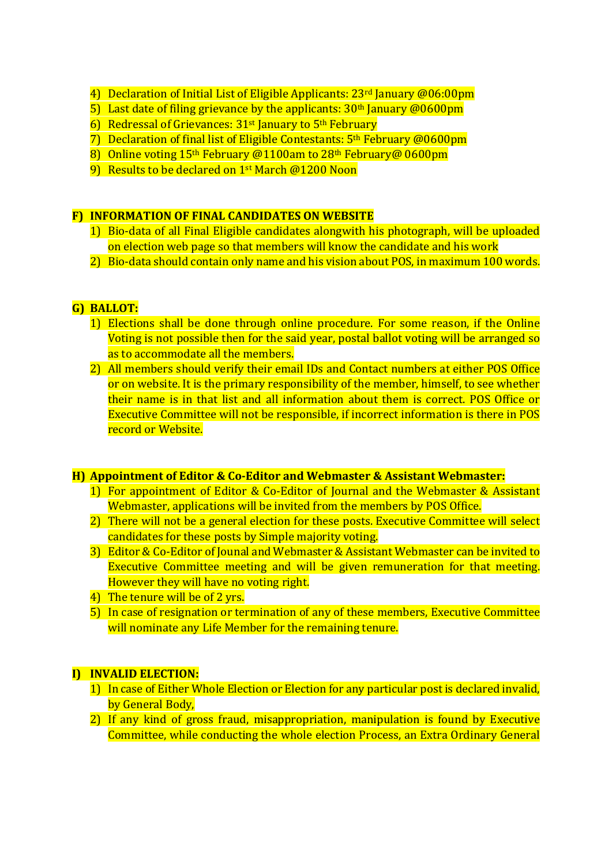- 4) Declaration of Initial List of Eligible Applicants: 23<sup>rd</sup> January @06:00pm
- 5) Last date of filing grievance by the applicants:  $30<sup>th</sup>$  January @0600pm
- 6) Redressal of Grievances: 31<sup>st</sup> January to 5<sup>th</sup> February
- 7) Declaration of final list of Eligible Contestants: 5th February @0600pm
- 8) Online voting 15<sup>th</sup> February @1100am to 28<sup>th</sup> February@ 0600pm
- 9) Results to be declared on 1<sup>st</sup> March @1200 Noon

# F) INFORMATION OF FINAL CANDIDATES ON WEBSITE

- 1) Bio-data of all Final Eligible candidates alongwith his photograph, will be uploaded on election web page so that members will know the candidate and his work
- 2) Bio-data should contain only name and his vision about POS, in maximum 100 words.

# G) BALLOT:

- 1) Elections shall be done through online procedure. For some reason, if the Online Voting is not possible then for the said year, postal ballot voting will be arranged so as to accommodate all the members.
- 2) All members should verify their email IDs and Contact numbers at either POS Office or on website. It is the primary responsibility of the member, himself, to see whether their name is in that list and all information about them is correct. POS Office or Executive Committee will not be responsible, if incorrect information is there in POS record or Website.

# H) Appointment of Editor & Co-Editor and Webmaster & Assistant Webmaster:

- 1) For appointment of Editor & Co-Editor of Journal and the Webmaster & Assistant Webmaster, applications will be invited from the members by POS Office.
- 2) There will not be a general election for these posts. Executive Committee will select candidates for these posts by Simple majority voting.
- 3) Editor & Co-Editor of Jounal and Webmaster & Assistant Webmaster can be invited to Executive Committee meeting and will be given remuneration for that meeting. However they will have no voting right.
- 4) The tenure will be of 2 yrs.
- 5) In case of resignation or termination of any of these members, Executive Committee will nominate any Life Member for the remaining tenure.

# I) INVALID ELECTION:

- 1) In case of Either Whole Election or Election for any particular post is declared invalid, by General Body,
- 2) If any kind of gross fraud, misappropriation, manipulation is found by Executive Committee, while conducting the whole election Process, an Extra Ordinary General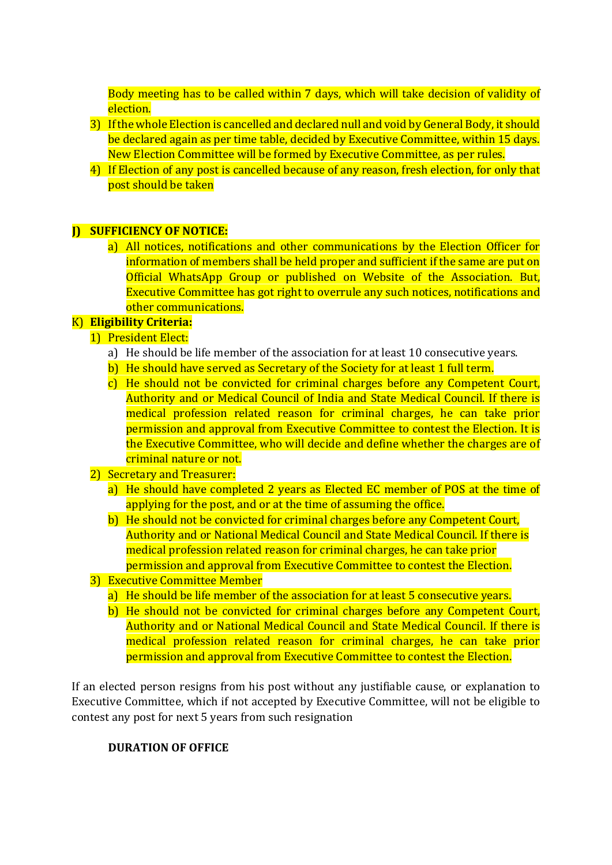Body meeting has to be called within 7 days, which will take decision of validity of election.

- 3) If the whole Election is cancelled and declared null and void by General Body, it should be declared again as per time table, decided by Executive Committee, within 15 days. New Election Committee will be formed by Executive Committee, as per rules.
- 4) If Election of any post is cancelled because of any reason, fresh election, for only that post should be taken

# **D** SUFFICIENCY OF NOTICE:

a) All notices, notifications and other communications by the Election Officer for information of members shall be held proper and sufficient if the same are put on Official WhatsApp Group or published on Website of the Association. But, Executive Committee has got right to overrule any such notices, notifications and other communications.

# K) Eligibility Criteria:

- 1) President Elect:
	- a) He should be life member of the association for at least 10 consecutive years.
	- b) He should have served as Secretary of the Society for at least 1 full term.
	- c) He should not be convicted for criminal charges before any Competent Court, Authority and or Medical Council of India and State Medical Council. If there is medical profession related reason for criminal charges, he can take prior permission and approval from Executive Committee to contest the Election. It is the Executive Committee, who will decide and define whether the charges are of criminal nature or not.
- 2) Secretary and Treasurer:
	- a) He should have completed 2 years as Elected EC member of POS at the time of applying for the post, and or at the time of assuming the office.
	- b) He should not be convicted for criminal charges before any Competent Court, Authority and or National Medical Council and State Medical Council. If there is medical profession related reason for criminal charges, he can take prior permission and approval from Executive Committee to contest the Election.
- 3) Executive Committee Member
	- a) He should be life member of the association for at least 5 consecutive years.
	- b) He should not be convicted for criminal charges before any Competent Court, Authority and or National Medical Council and State Medical Council. If there is medical profession related reason for criminal charges, he can take prior permission and approval from Executive Committee to contest the Election.

If an elected person resigns from his post without any justifiable cause, or explanation to Executive Committee, which if not accepted by Executive Committee, will not be eligible to contest any post for next 5 years from such resignation

# DURATION OF OFFICE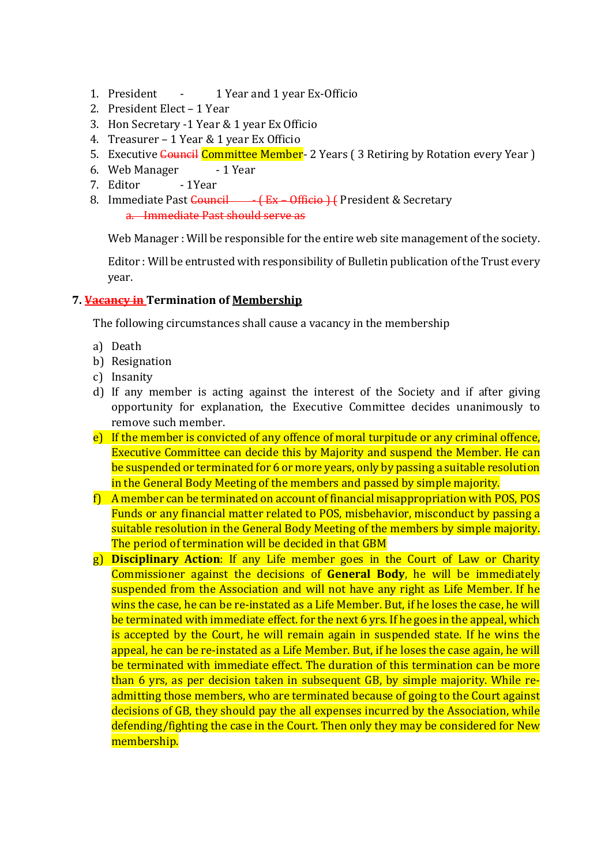- 1. President 1 Year and 1 year Ex-Officio
- 2. President Elect 1 Year
- 3. Hon Secretary -1 Year & 1 year Ex Officio
- 4. Treasurer 1 Year & 1 year Ex Officio
- 5. Executive Council Committee Member- 2 Years (3 Retiring by Rotation every Year)
- 6. Web Manager 1 Year
- 7. Editor 1Year
- 8. Immediate Past Council (Ex Officio ) ( President & Secretary a. Immediate Past should serve as

Web Manager : Will be responsible for the entire web site management of the society.

Editor : Will be entrusted with responsibility of Bulletin publication of the Trust every year.

# 7. **Vacancy in** Termination of Membership

The following circumstances shall cause a vacancy in the membership

- a) Death
- b) Resignation
- c) Insanity
- d) If any member is acting against the interest of the Society and if after giving opportunity for explanation, the Executive Committee decides unanimously to remove such member.
- e) If the member is convicted of any offence of moral turpitude or any criminal offence, Executive Committee can decide this by Majority and suspend the Member. He can be suspended or terminated for 6 or more years, only by passing a suitable resolution in the General Body Meeting of the members and passed by simple majority.
- f) A member can be terminated on account of financial misappropriation with POS, POS Funds or any financial matter related to POS, misbehavior, misconduct by passing a suitable resolution in the General Body Meeting of the members by simple majority. The period of termination will be decided in that GBM
- g) Disciplinary Action: If any Life member goes in the Court of Law or Charity Commissioner against the decisions of General Body, he will be immediately suspended from the Association and will not have any right as Life Member. If he wins the case, he can be re-instated as a Life Member. But, if he loses the case, he will be terminated with immediate effect. for the next 6 yrs. If he goes in the appeal, which is accepted by the Court, he will remain again in suspended state. If he wins the appeal, he can be re-instated as a Life Member. But, if he loses the case again, he will be terminated with immediate effect. The duration of this termination can be more than 6 yrs, as per decision taken in subsequent GB, by simple majority. While readmitting those members, who are terminated because of going to the Court against decisions of GB, they should pay the all expenses incurred by the Association, while defending/fighting the case in the Court. Then only they may be considered for New membership.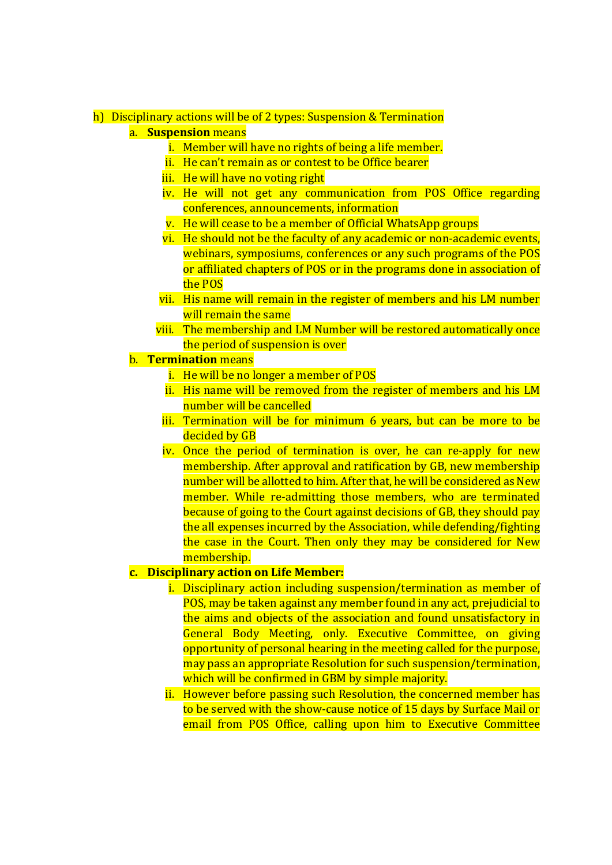#### h) Disciplinary actions will be of 2 types: Suspension & Termination

- a. Suspension means
	- i. Member will have no rights of being a life member.
	- ii. He can't remain as or contest to be Office bearer
	- iii. He will have no voting right
	- iv. He will not get any communication from POS Office regarding conferences, announcements, information
	- v. He will cease to be a member of Official WhatsApp groups
	- vi. He should not be the faculty of any academic or non-academic events, webinars, symposiums, conferences or any such programs of the POS or affiliated chapters of POS or in the programs done in association of the POS
	- vii. His name will remain in the register of members and his LM number will remain the same
	- viii. The membership and LM Number will be restored automatically once the period of suspension is over
- b. Termination means
	- i. He will be no longer a member of POS
	- ii. His name will be removed from the register of members and his LM number will be cancelled
	- iii. Termination will be for minimum 6 years, but can be more to be decided by GB
	- iv. Once the period of termination is over, he can re-apply for new membership. After approval and ratification by GB, new membership number will be allotted to him. After that, he will be considered as New member. While re-admitting those members, who are terminated because of going to the Court against decisions of GB, they should pay the all expenses incurred by the Association, while defending/fighting the case in the Court. Then only they may be considered for New membership.

#### c. Disciplinary action on Life Member:

- i. Disciplinary action including suspension/termination as member of POS, may be taken against any member found in any act, prejudicial to the aims and objects of the association and found unsatisfactory in General Body Meeting, only. Executive Committee, on giving opportunity of personal hearing in the meeting called for the purpose, may pass an appropriate Resolution for such suspension/termination, which will be confirmed in GBM by simple majority.
- ii. However before passing such Resolution, the concerned member has to be served with the show-cause notice of 15 days by Surface Mail or email from POS Office, calling upon him to Executive Committee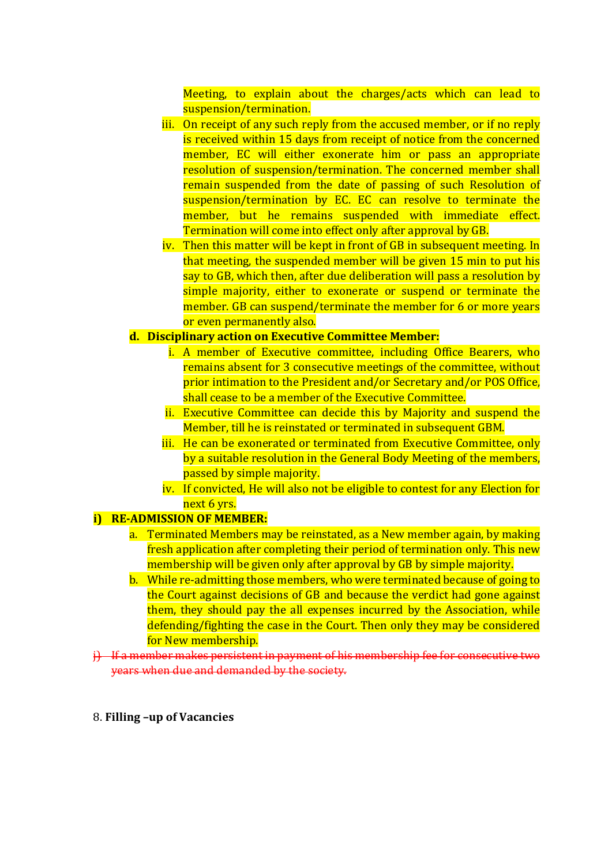Meeting, to explain about the charges/acts which can lead to suspension/termination.

- iii. On receipt of any such reply from the accused member, or if no reply is received within 15 days from receipt of notice from the concerned member, EC will either exonerate him or pass an appropriate resolution of suspension/termination. The concerned member shall remain suspended from the date of passing of such Resolution of suspension/termination by EC. EC can resolve to terminate the member, but he remains suspended with immediate effect. Termination will come into effect only after approval by GB.
- iv. Then this matter will be kept in front of GB in subsequent meeting. In that meeting, the suspended member will be given 15 min to put his say to GB, which then, after due deliberation will pass a resolution by simple majority, either to exonerate or suspend or terminate the member. GB can suspend/terminate the member for 6 or more years or even permanently also.

#### d. Disciplinary action on Executive Committee Member:

- i. A member of Executive committee, including Office Bearers, who remains absent for 3 consecutive meetings of the committee, without prior intimation to the President and/or Secretary and/or POS Office, shall cease to be a member of the Executive Committee.
- ii. Executive Committee can decide this by Majority and suspend the Member, till he is reinstated or terminated in subsequent GBM.
- iii. He can be exonerated or terminated from Executive Committee, only by a suitable resolution in the General Body Meeting of the members, passed by simple majority.
- iv. If convicted, He will also not be eligible to contest for any Election for next 6 yrs.

# i) RE-ADMISSION OF MEMBER:

- a. Terminated Members may be reinstated, as a New member again, by making fresh application after completing their period of termination only. This new membership will be given only after approval by GB by simple majority.
- b. While re-admitting those members, who were terminated because of going to the Court against decisions of GB and because the verdict had gone against them, they should pay the all expenses incurred by the Association, while defending/fighting the case in the Court. Then only they may be considered for New membership.
- j) If a member makes persistent in payment of his membership fee for consecutive two years when due and demanded by the society.
- 8. Filling –up of Vacancies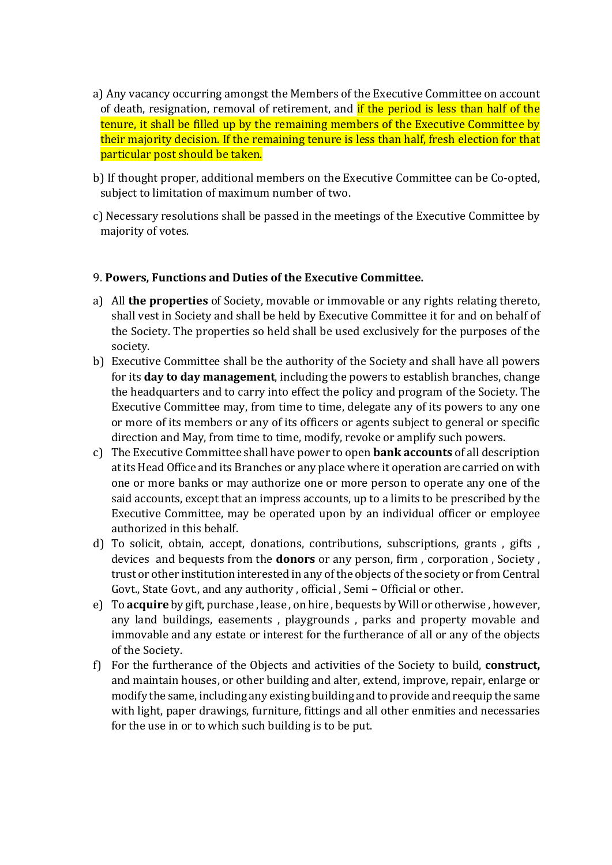- a) Any vacancy occurring amongst the Members of the Executive Committee on account of death, resignation, removal of retirement, and if the period is less than half of the tenure, it shall be filled up by the remaining members of the Executive Committee by their majority decision. If the remaining tenure is less than half, fresh election for that particular post should be taken.
- b) If thought proper, additional members on the Executive Committee can be Co-opted, subject to limitation of maximum number of two.
- c) Necessary resolutions shall be passed in the meetings of the Executive Committee by majority of votes.

#### 9. Powers, Functions and Duties of the Executive Committee.

- a) All the properties of Society, movable or immovable or any rights relating thereto, shall vest in Society and shall be held by Executive Committee it for and on behalf of the Society. The properties so held shall be used exclusively for the purposes of the society.
- b) Executive Committee shall be the authority of the Society and shall have all powers for its day to day management, including the powers to establish branches, change the headquarters and to carry into effect the policy and program of the Society. The Executive Committee may, from time to time, delegate any of its powers to any one or more of its members or any of its officers or agents subject to general or specific direction and May, from time to time, modify, revoke or amplify such powers.
- c) The Executive Committee shall have power to open bank accounts of all description at its Head Office and its Branches or any place where it operation are carried on with one or more banks or may authorize one or more person to operate any one of the said accounts, except that an impress accounts, up to a limits to be prescribed by the Executive Committee, may be operated upon by an individual officer or employee authorized in this behalf.
- d) To solicit, obtain, accept, donations, contributions, subscriptions, grants , gifts , devices and bequests from the donors or any person, firm , corporation , Society , trust or other institution interested in any of the objects of the society or from Central Govt., State Govt., and any authority , official , Semi – Official or other.
- e) To acquire by gift, purchase , lease , on hire , bequests by Will or otherwise , however, any land buildings, easements , playgrounds , parks and property movable and immovable and any estate or interest for the furtherance of all or any of the objects of the Society.
- f) For the furtherance of the Objects and activities of the Society to build, construct, and maintain houses, or other building and alter, extend, improve, repair, enlarge or modify the same, including any existing building and to provide and reequip the same with light, paper drawings, furniture, fittings and all other enmities and necessaries for the use in or to which such building is to be put.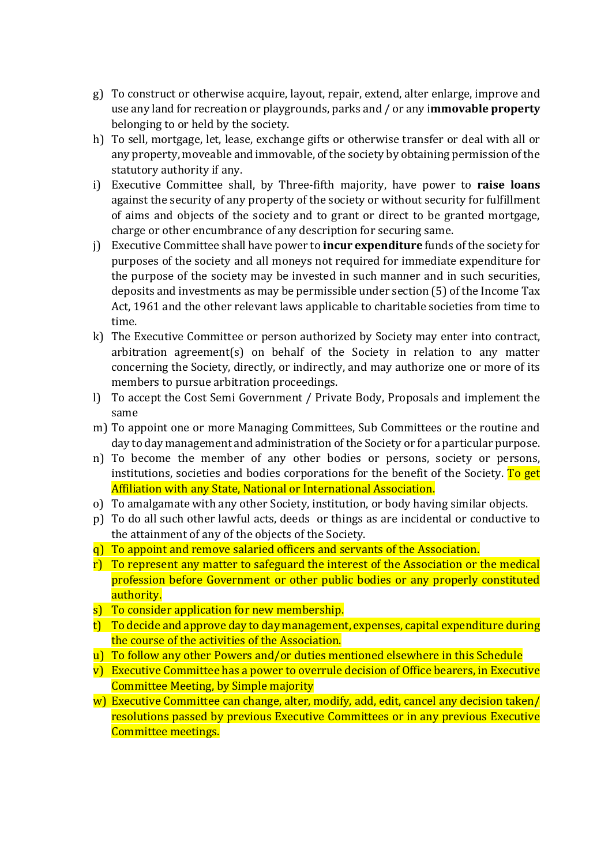- g) To construct or otherwise acquire, layout, repair, extend, alter enlarge, improve and use any land for recreation or playgrounds, parks and / or any i**mmovable property** belonging to or held by the society.
- h) To sell, mortgage, let, lease, exchange gifts or otherwise transfer or deal with all or any property, moveable and immovable, of the society by obtaining permission of the statutory authority if any.
- i) Executive Committee shall, by Three-fifth majority, have power to raise loans against the security of any property of the society or without security for fulfillment of aims and objects of the society and to grant or direct to be granted mortgage, charge or other encumbrance of any description for securing same.
- j) Executive Committee shall have power to **incur expenditure** funds of the society for purposes of the society and all moneys not required for immediate expenditure for the purpose of the society may be invested in such manner and in such securities, deposits and investments as may be permissible under section (5) of the Income Tax Act, 1961 and the other relevant laws applicable to charitable societies from time to time.
- k) The Executive Committee or person authorized by Society may enter into contract, arbitration agreement(s) on behalf of the Society in relation to any matter concerning the Society, directly, or indirectly, and may authorize one or more of its members to pursue arbitration proceedings.
- l) To accept the Cost Semi Government / Private Body, Proposals and implement the same
- m) To appoint one or more Managing Committees, Sub Committees or the routine and day to day management and administration of the Society or for a particular purpose.
- n) To become the member of any other bodies or persons, society or persons, institutions, societies and bodies corporations for the benefit of the Society. To get Affiliation with any State, National or International Association.
- o) To amalgamate with any other Society, institution, or body having similar objects.
- p) To do all such other lawful acts, deeds or things as are incidental or conductive to the attainment of any of the objects of the Society.
- q) To appoint and remove salaried officers and servants of the Association.
- r) To represent any matter to safeguard the interest of the Association or the medical profession before Government or other public bodies or any properly constituted authority.
- s) To consider application for new membership.
- t) To decide and approve day to day management, expenses, capital expenditure during the course of the activities of the Association.
- u) To follow any other Powers and/or duties mentioned elsewhere in this Schedule
- v) Executive Committee has a power to overrule decision of Office bearers, in Executive Committee Meeting, by Simple majority
- w) Executive Committee can change, alter, modify, add, edit, cancel any decision taken/ resolutions passed by previous Executive Committees or in any previous Executive Committee meetings.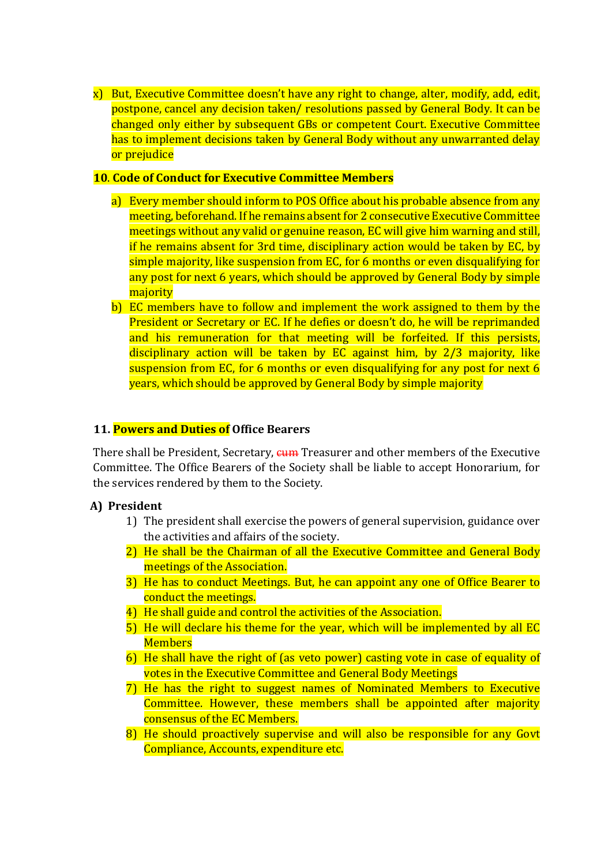x) But, Executive Committee doesn't have any right to change, alter, modify, add, edit, postpone, cancel any decision taken/ resolutions passed by General Body. It can be changed only either by subsequent GBs or competent Court. Executive Committee has to implement decisions taken by General Body without any unwarranted delay or prejudice

#### 10. Code of Conduct for Executive Committee Members

- a) Every member should inform to POS Office about his probable absence from any meeting, beforehand. If he remains absent for 2 consecutive Executive Committee meetings without any valid or genuine reason, EC will give him warning and still, if he remains absent for 3rd time, disciplinary action would be taken by EC, by simple majority, like suspension from EC, for 6 months or even disqualifying for any post for next 6 years, which should be approved by General Body by simple majority
- b) EC members have to follow and implement the work assigned to them by the President or Secretary or EC. If he defies or doesn't do, he will be reprimanded and his remuneration for that meeting will be forfeited. If this persists, disciplinary action will be taken by EC against him, by 2/3 majority, like suspension from EC, for 6 months or even disqualifying for any post for next 6 years, which should be approved by General Body by simple majority

#### 11. **Powers and Duties of** Office Bearers

There shall be President, Secretary,  $\frac{1}{2}$  Cherasurer and other members of the Executive Committee. The Office Bearers of the Society shall be liable to accept Honorarium, for the services rendered by them to the Society.

# A) President

- 1) The president shall exercise the powers of general supervision, guidance over the activities and affairs of the society.
- 2) He shall be the Chairman of all the Executive Committee and General Body meetings of the Association.
- 3) He has to conduct Meetings. But, he can appoint any one of Office Bearer to conduct the meetings.
- 4) He shall guide and control the activities of the Association.
- 5) He will declare his theme for the year, which will be implemented by all EC **Members**
- 6) He shall have the right of (as veto power) casting vote in case of equality of votes in the Executive Committee and General Body Meetings
- 7) He has the right to suggest names of Nominated Members to Executive Committee. However, these members shall be appointed after majority consensus of the EC Members.
- 8) He should proactively supervise and will also be responsible for any Govt Compliance, Accounts, expenditure etc.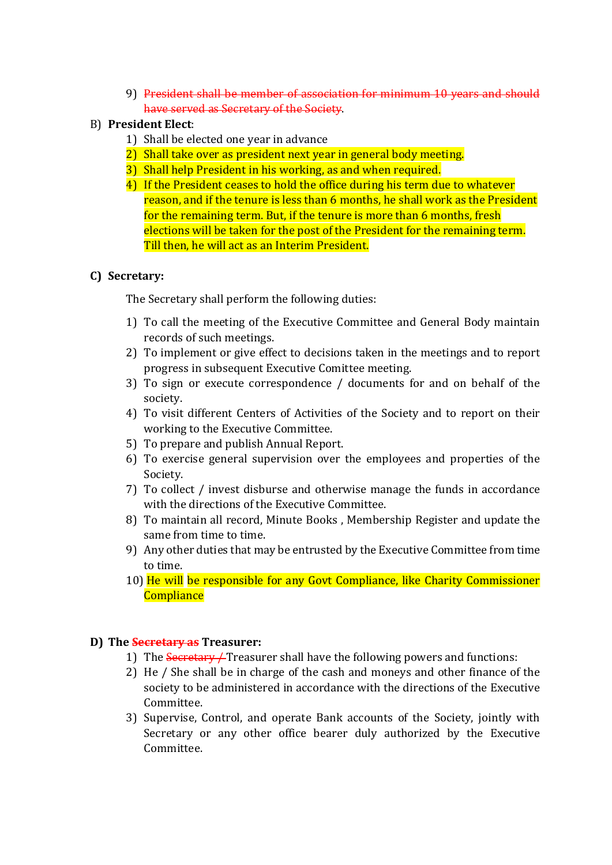9) President shall be member of association for minimum 10 years and should have served as Secretary of the Society.

# B) President Elect:

- 1) Shall be elected one year in advance
- 2) Shall take over as president next year in general body meeting.
- 3) Shall help President in his working, as and when required.
- 4) If the President ceases to hold the office during his term due to whatever reason, and if the tenure is less than 6 months, he shall work as the President for the remaining term. But, if the tenure is more than 6 months, fresh elections will be taken for the post of the President for the remaining term. Till then, he will act as an Interim President.

# C) Secretary:

The Secretary shall perform the following duties:

- 1) To call the meeting of the Executive Committee and General Body maintain records of such meetings.
- 2) To implement or give effect to decisions taken in the meetings and to report progress in subsequent Executive Comittee meeting.
- 3) To sign or execute correspondence / documents for and on behalf of the society.
- 4) To visit different Centers of Activities of the Society and to report on their working to the Executive Committee.
- 5) To prepare and publish Annual Report.
- 6) To exercise general supervision over the employees and properties of the Society.
- 7) To collect / invest disburse and otherwise manage the funds in accordance with the directions of the Executive Committee.
- 8) To maintain all record, Minute Books , Membership Register and update the same from time to time.
- 9) Any other duties that may be entrusted by the Executive Committee from time to time.
- 10) He will be responsible for any Govt Compliance, like Charity Commissioner **Compliance**

# D) The **Secretary as** Treasurer:

- 1) The Secretary */* Treasurer shall have the following powers and functions:
- 2) He / She shall be in charge of the cash and moneys and other finance of the society to be administered in accordance with the directions of the Executive Committee.
- 3) Supervise, Control, and operate Bank accounts of the Society, jointly with Secretary or any other office bearer duly authorized by the Executive Committee.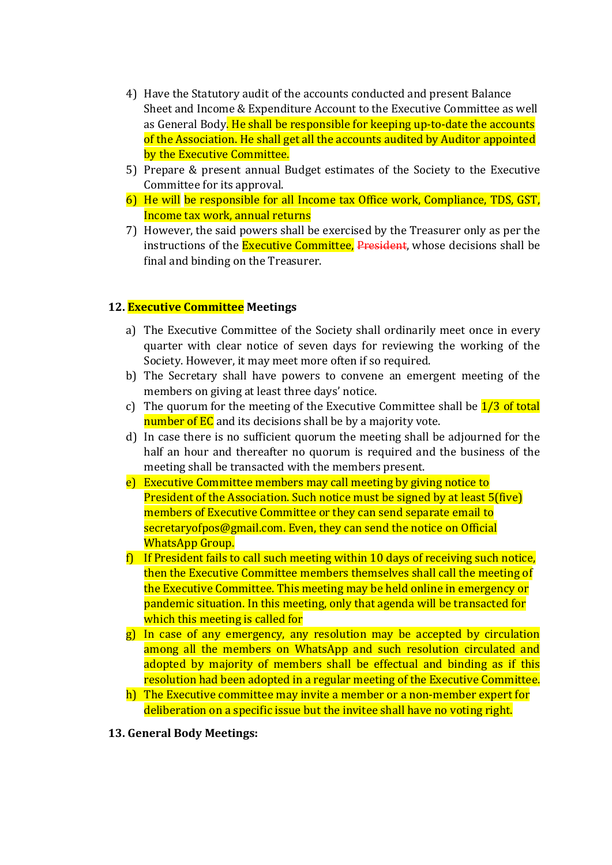- 4) Have the Statutory audit of the accounts conducted and present Balance Sheet and Income & Expenditure Account to the Executive Committee as well as General Body. He shall be responsible for keeping up-to-date the accounts of the Association. He shall get all the accounts audited by Auditor appointed by the Executive Committee.
- 5) Prepare & present annual Budget estimates of the Society to the Executive Committee for its approval.
- 6) He will be responsible for all Income tax Office work, Compliance, TDS, GST, Income tax work, annual returns
- 7) However, the said powers shall be exercised by the Treasurer only as per the instructions of the **Executive Committee**, President, whose decisions shall be final and binding on the Treasurer.

# 12. **Executive Committee** Meetings

- a) The Executive Committee of the Society shall ordinarily meet once in every quarter with clear notice of seven days for reviewing the working of the Society. However, it may meet more often if so required.
- b) The Secretary shall have powers to convene an emergent meeting of the members on giving at least three days' notice.
- c) The quorum for the meeting of the Executive Committee shall be  $1/3$  of total number of EC and its decisions shall be by a majority vote.
- d) In case there is no sufficient quorum the meeting shall be adjourned for the half an hour and thereafter no quorum is required and the business of the meeting shall be transacted with the members present.
- e) Executive Committee members may call meeting by giving notice to President of the Association. Such notice must be signed by at least 5(five) members of Executive Committee or they can send separate email to secretaryofpos@gmail.com. Even, they can send the notice on Official WhatsApp Group.
- $f$  If President fails to call such meeting within 10 days of receiving such notice, then the Executive Committee members themselves shall call the meeting of the Executive Committee. This meeting may be held online in emergency or pandemic situation. In this meeting, only that agenda will be transacted for which this meeting is called for
- g) In case of any emergency, any resolution may be accepted by circulation among all the members on WhatsApp and such resolution circulated and adopted by majority of members shall be effectual and binding as if this resolution had been adopted in a regular meeting of the Executive Committee.
- h) The Executive committee may invite a member or a non-member expert for deliberation on a specific issue but the invitee shall have no voting right.
- 13. General Body Meetings: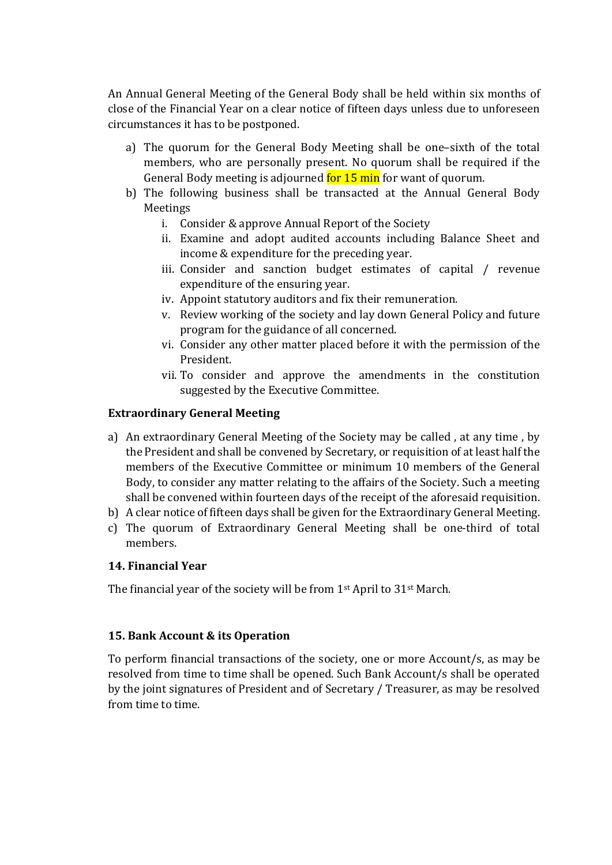An Annual General Meeting of the General Body shall be held within six months of close of the Financial Year on a clear notice of fifteen days unless due to unforeseen circumstances it has to be postponed.

- a) The quorum for the General Body Meeting shall be one–sixth of the total members, who are personally present. No quorum shall be required if the General Body meeting is adjourned for 15 min for want of quorum.
- b) The following business shall be transacted at the Annual General Body Meetings
	- i. Consider & approve Annual Report of the Society
	- ii. Examine and adopt audited accounts including Balance Sheet and income & expenditure for the preceding year.
	- iii. Consider and sanction budget estimates of capital / revenue expenditure of the ensuring year.
	- iv. Appoint statutory auditors and fix their remuneration.
	- v. Review working of the society and lay down General Policy and future program for the guidance of all concerned.
	- vi. Consider any other matter placed before it with the permission of the President.
	- vii. To consider and approve the amendments in the constitution suggested by the Executive Committee.

# Extraordinary General Meeting

- a) An extraordinary General Meeting of the Society may be called , at any time , by the President and shall be convened by Secretary, or requisition of at least half the members of the Executive Committee or minimum 10 members of the General Body, to consider any matter relating to the affairs of the Society. Such a meeting shall be convened within fourteen days of the receipt of the aforesaid requisition.
- b) A clear notice of fifteen days shall be given for the Extraordinary General Meeting.
- c) The quorum of Extraordinary General Meeting shall be one-third of total members.

# 14. Financial Year

The financial year of the society will be from 1st April to 31st March.

# 15. Bank Account & its Operation

To perform financial transactions of the society, one or more Account/s, as may be resolved from time to time shall be opened. Such Bank Account/s shall be operated by the joint signatures of President and of Secretary / Treasurer, as may be resolved from time to time.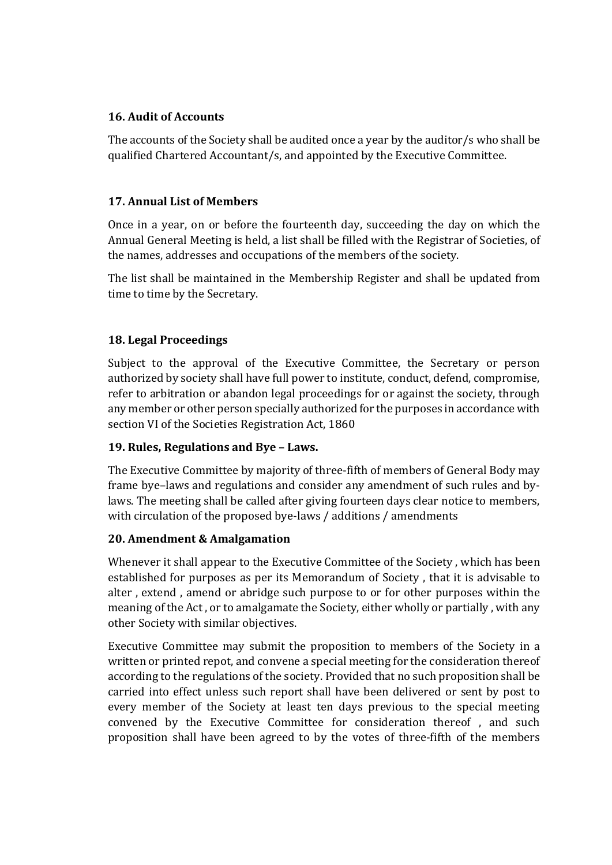# 16. Audit of Accounts

The accounts of the Society shall be audited once a year by the auditor/s who shall be qualified Chartered Accountant/s, and appointed by the Executive Committee.

#### 17. Annual List of Members

Once in a year, on or before the fourteenth day, succeeding the day on which the Annual General Meeting is held, a list shall be filled with the Registrar of Societies, of the names, addresses and occupations of the members of the society.

The list shall be maintained in the Membership Register and shall be updated from time to time by the Secretary.

# 18. Legal Proceedings

Subject to the approval of the Executive Committee, the Secretary or person authorized by society shall have full power to institute, conduct, defend, compromise, refer to arbitration or abandon legal proceedings for or against the society, through any member or other person specially authorized for the purposes in accordance with section VI of the Societies Registration Act, 1860

#### 19. Rules, Regulations and Bye – Laws.

The Executive Committee by majority of three-fifth of members of General Body may frame bye–laws and regulations and consider any amendment of such rules and bylaws. The meeting shall be called after giving fourteen days clear notice to members, with circulation of the proposed bye-laws / additions / amendments

# 20. Amendment & Amalgamation

Whenever it shall appear to the Executive Committee of the Society , which has been established for purposes as per its Memorandum of Society , that it is advisable to alter , extend , amend or abridge such purpose to or for other purposes within the meaning of the Act , or to amalgamate the Society, either wholly or partially , with any other Society with similar objectives.

Executive Committee may submit the proposition to members of the Society in a written or printed repot, and convene a special meeting for the consideration thereof according to the regulations of the society. Provided that no such proposition shall be carried into effect unless such report shall have been delivered or sent by post to every member of the Society at least ten days previous to the special meeting convened by the Executive Committee for consideration thereof , and such proposition shall have been agreed to by the votes of three-fifth of the members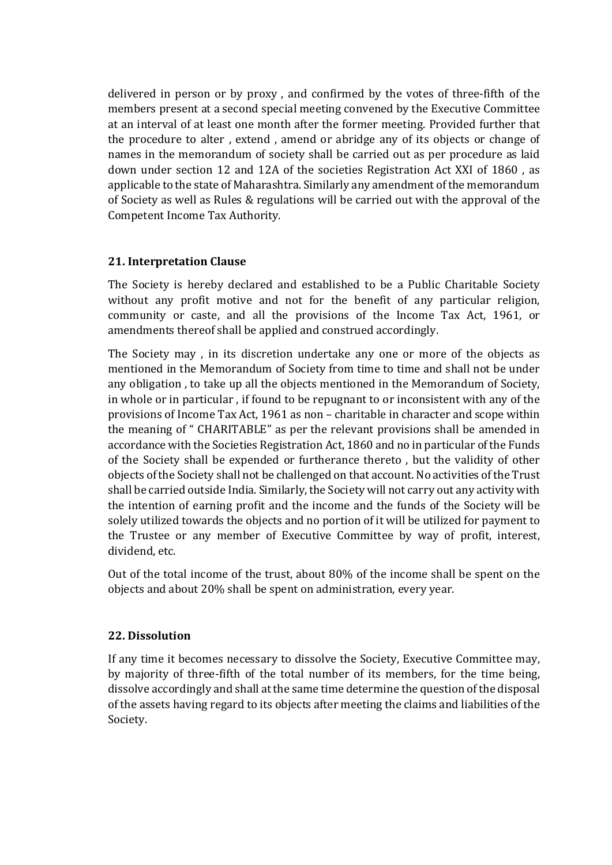delivered in person or by proxy , and confirmed by the votes of three-fifth of the members present at a second special meeting convened by the Executive Committee at an interval of at least one month after the former meeting. Provided further that the procedure to alter , extend , amend or abridge any of its objects or change of names in the memorandum of society shall be carried out as per procedure as laid down under section 12 and 12A of the societies Registration Act XXI of 1860 , as applicable to the state of Maharashtra. Similarly any amendment of the memorandum of Society as well as Rules & regulations will be carried out with the approval of the Competent Income Tax Authority.

# 21. Interpretation Clause

The Society is hereby declared and established to be a Public Charitable Society without any profit motive and not for the benefit of any particular religion, community or caste, and all the provisions of the Income Tax Act, 1961, or amendments thereof shall be applied and construed accordingly.

The Society may , in its discretion undertake any one or more of the objects as mentioned in the Memorandum of Society from time to time and shall not be under any obligation , to take up all the objects mentioned in the Memorandum of Society, in whole or in particular , if found to be repugnant to or inconsistent with any of the provisions of Income Tax Act, 1961 as non – charitable in character and scope within the meaning of " CHARITABLE" as per the relevant provisions shall be amended in accordance with the Societies Registration Act, 1860 and no in particular of the Funds of the Society shall be expended or furtherance thereto , but the validity of other objects of the Society shall not be challenged on that account. No activities of the Trust shall be carried outside India. Similarly, the Society will not carry out any activity with the intention of earning profit and the income and the funds of the Society will be solely utilized towards the objects and no portion of it will be utilized for payment to the Trustee or any member of Executive Committee by way of profit, interest, dividend, etc.

Out of the total income of the trust, about 80% of the income shall be spent on the objects and about 20% shall be spent on administration, every year.

# 22. Dissolution

If any time it becomes necessary to dissolve the Society, Executive Committee may, by majority of three-fifth of the total number of its members, for the time being, dissolve accordingly and shall at the same time determine the question of the disposal of the assets having regard to its objects after meeting the claims and liabilities of the Society.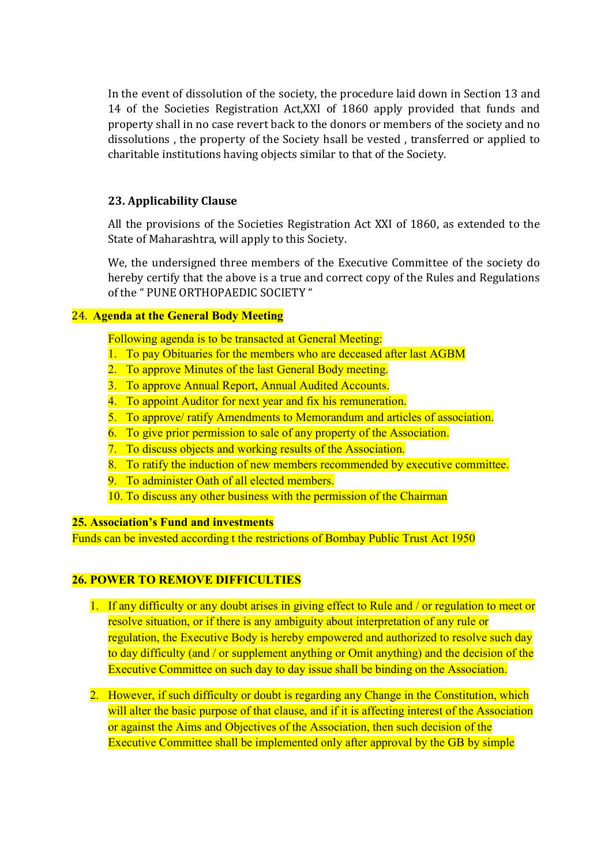In the event of dissolution of the society, the procedure laid down in Section 13 and 14 of the Societies Registration Act,XXI of 1860 apply provided that funds and property shall in no case revert back to the donors or members of the society and no dissolutions , the property of the Society hsall be vested , transferred or applied to charitable institutions having objects similar to that of the Society.

# 23. Applicability Clause

All the provisions of the Societies Registration Act XXI of 1860, as extended to the State of Maharashtra, will apply to this Society.

We, the undersigned three members of the Executive Committee of the society do hereby certify that the above is a true and correct copy of the Rules and Regulations of the " PUNE ORTHOPAEDIC SOCIETY "

# 24. Agenda at the General Body Meeting

Following agenda is to be transacted at General Meeting:

- 1. To pay Obituaries for the members who are deceased after last AGBM
- 2. To approve Minutes of the last General Body meeting.
- 3. To approve Annual Report, Annual Audited Accounts.
- 4. To appoint Auditor for next year and fix his remuneration.
- 5. To approve/ ratify Amendments to Memorandum and articles of association.
- 6. To give prior permission to sale of any property of the Association.
- 7. To discuss objects and working results of the Association.
- 8. To ratify the induction of new members recommended by executive committee.
- 9. To administer Oath of all elected members.
- 10. To discuss any other business with the permission of the Chairman

#### 25. Association's Fund and investments

Funds can be invested according t the restrictions of Bombay Public Trust Act 1950

# 26. POWER TO REMOVE DIFFICULTIES

- 1. If any difficulty or any doubt arises in giving effect to Rule and / or regulation to meet or resolve situation, or if there is any ambiguity about interpretation of any rule or regulation, the Executive Body is hereby empowered and authorized to resolve such day to day difficulty (and / or supplement anything or Omit anything) and the decision of the Executive Committee on such day to day issue shall be binding on the Association.
- 2. However, if such difficulty or doubt is regarding any Change in the Constitution, which will alter the basic purpose of that clause, and if it is affecting interest of the Association or against the Aims and Objectives of the Association, then such decision of the Executive Committee shall be implemented only after approval by the GB by simple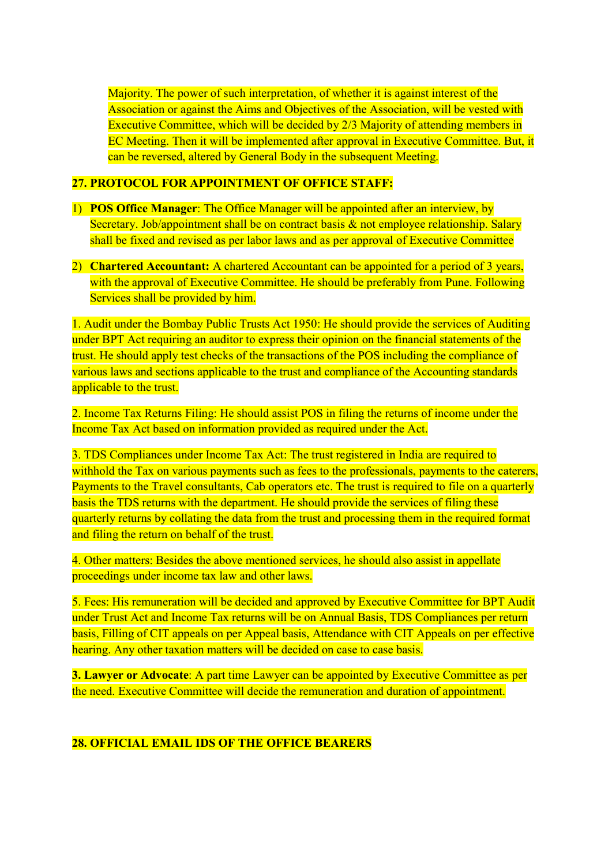Majority. The power of such interpretation, of whether it is against interest of the Association or against the Aims and Objectives of the Association, will be vested with Executive Committee, which will be decided by 2/3 Majority of attending members in EC Meeting. Then it will be implemented after approval in Executive Committee. But, it can be reversed, altered by General Body in the subsequent Meeting.

#### 27. PROTOCOL FOR APPOINTMENT OF OFFICE STAFF:

- 1) POS Office Manager: The Office Manager will be appointed after an interview, by Secretary. Job/appointment shall be on contract basis & not employee relationship. Salary shall be fixed and revised as per labor laws and as per approval of Executive Committee
- 2) Chartered Accountant: A chartered Accountant can be appointed for a period of 3 years, with the approval of Executive Committee. He should be preferably from Pune. Following Services shall be provided by him.

1. Audit under the Bombay Public Trusts Act 1950: He should provide the services of Auditing under BPT Act requiring an auditor to express their opinion on the financial statements of the trust. He should apply test checks of the transactions of the POS including the compliance of various laws and sections applicable to the trust and compliance of the Accounting standards applicable to the trust.

2. Income Tax Returns Filing: He should assist POS in filing the returns of income under the Income Tax Act based on information provided as required under the Act.

3. TDS Compliances under Income Tax Act: The trust registered in India are required to withhold the Tax on various payments such as fees to the professionals, payments to the caterers, Payments to the Travel consultants, Cab operators etc. The trust is required to file on a quarterly basis the TDS returns with the department. He should provide the services of filing these quarterly returns by collating the data from the trust and processing them in the required format and filing the return on behalf of the trust.

4. Other matters: Besides the above mentioned services, he should also assist in appellate proceedings under income tax law and other laws.

5. Fees: His remuneration will be decided and approved by Executive Committee for BPT Audit under Trust Act and Income Tax returns will be on Annual Basis, TDS Compliances per return basis, Filling of CIT appeals on per Appeal basis, Attendance with CIT Appeals on per effective hearing. Any other taxation matters will be decided on case to case basis.

**3. Lawyer or Advocate:** A part time Lawyer can be appointed by Executive Committee as per the need. Executive Committee will decide the remuneration and duration of appointment.

# 28. OFFICIAL EMAIL IDS OF THE OFFICE BEARERS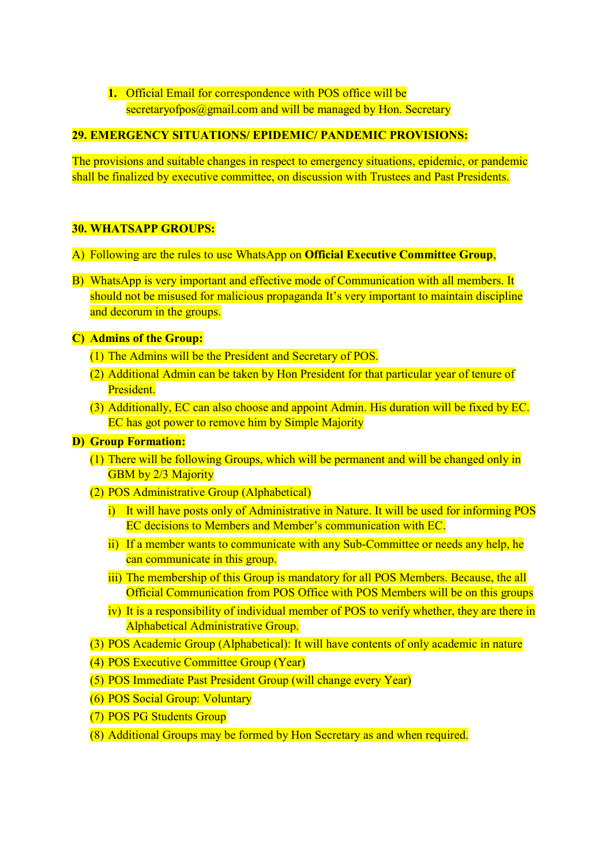# 1. Official Email for correspondence with POS office will be secretaryofpos@gmail.com and will be managed by Hon. Secretary

# 29. EMERGENCY SITUATIONS/ EPIDEMIC/ PANDEMIC PROVISIONS:

The provisions and suitable changes in respect to emergency situations, epidemic, or pandemic shall be finalized by executive committee, on discussion with Trustees and Past Presidents.

# 30. WHATSAPP GROUPS:

- A) Following are the rules to use WhatsApp on Official Executive Committee Group,
- B) WhatsApp is very important and effective mode of Communication with all members. It should not be misused for malicious propaganda It's very important to maintain discipline and decorum in the groups.

# C) Admins of the Group:

- (1) The Admins will be the President and Secretary of POS.
- (2) Additional Admin can be taken by Hon President for that particular year of tenure of President.
- (3) Additionally, EC can also choose and appoint Admin. His duration will be fixed by EC. EC has got power to remove him by Simple Majority

# D) Group Formation:

- (1) There will be following Groups, which will be permanent and will be changed only in GBM by 2/3 Majority
- (2) POS Administrative Group (Alphabetical)
	- i) It will have posts only of Administrative in Nature. It will be used for informing POS EC decisions to Members and Member's communication with EC.
	- ii) If a member wants to communicate with any Sub-Committee or needs any help, he can communicate in this group.
	- iii) The membership of this Group is mandatory for all POS Members. Because, the all Official Communication from POS Office with POS Members will be on this groups
	- iv) It is a responsibility of individual member of POS to verify whether, they are there in Alphabetical Administrative Group.
- (3) POS Academic Group (Alphabetical): It will have contents of only academic in nature
- (4) POS Executive Committee Group (Year)
- (5) POS Immediate Past President Group (will change every Year)
- (6) POS Social Group: Voluntary
- (7) POS PG Students Group
- (8) Additional Groups may be formed by Hon Secretary as and when required.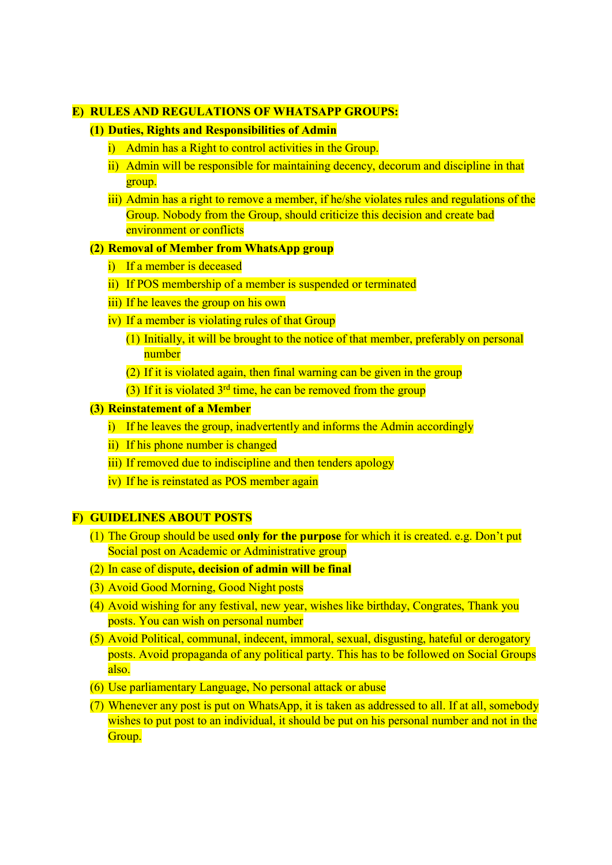#### E) RULES AND REGULATIONS OF WHATSAPP GROUPS:

#### (1) Duties, Rights and Responsibilities of Admin

- i) Admin has a Right to control activities in the Group.
- ii) Admin will be responsible for maintaining decency, decorum and discipline in that group.
- iii) Admin has a right to remove a member, if he/she violates rules and regulations of the Group. Nobody from the Group, should criticize this decision and create bad environment or conflicts

#### (2) Removal of Member from WhatsApp group

- i) If a member is deceased
- ii) If POS membership of a member is suspended or terminated
- iii) If he leaves the group on his own
- iv) If a member is violating rules of that Group
	- (1) Initially, it will be brought to the notice of that member, preferably on personal number
	- (2) If it is violated again, then final warning can be given in the group
	- (3) If it is violated  $3<sup>rd</sup>$  time, he can be removed from the group

#### (3) Reinstatement of a Member

- i) If he leaves the group, inadvertently and informs the Admin accordingly
- ii) If his phone number is changed
- iii) If removed due to indiscipline and then tenders apology
- iv) If he is reinstated as POS member again

# F) GUIDELINES ABOUT POSTS

- (1) The Group should be used only for the purpose for which it is created. e.g. Don't put Social post on Academic or Administrative group
- (2) In case of dispute, decision of admin will be final
- (3) Avoid Good Morning, Good Night posts
- (4) Avoid wishing for any festival, new year, wishes like birthday, Congrates, Thank you posts. You can wish on personal number
- (5) Avoid Political, communal, indecent, immoral, sexual, disgusting, hateful or derogatory posts. Avoid propaganda of any political party. This has to be followed on Social Groups also.
- (6) Use parliamentary Language, No personal attack or abuse
- (7) Whenever any post is put on WhatsApp, it is taken as addressed to all. If at all, somebody wishes to put post to an individual, it should be put on his personal number and not in the Group.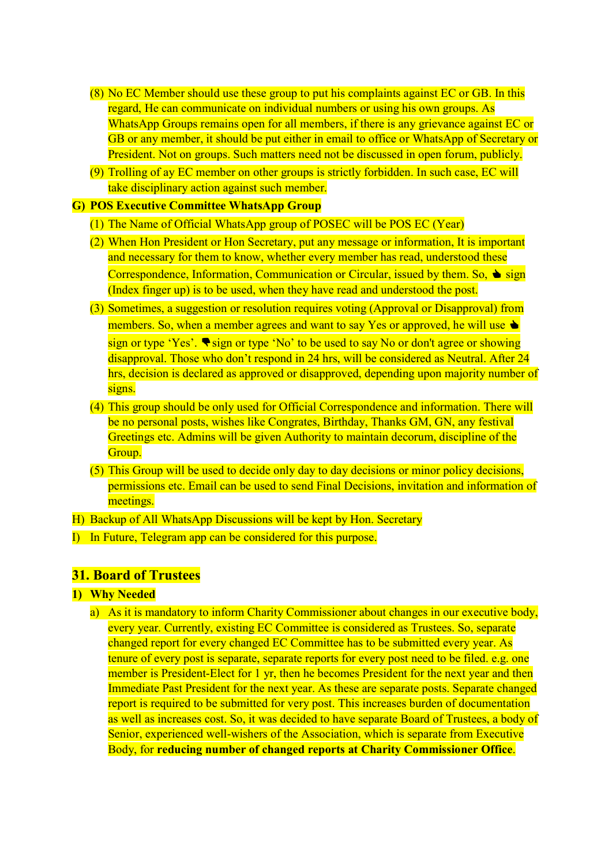- (8) No EC Member should use these group to put his complaints against EC or GB. In this regard, He can communicate on individual numbers or using his own groups. As WhatsApp Groups remains open for all members, if there is any grievance against EC or GB or any member, it should be put either in email to office or WhatsApp of Secretary or President. Not on groups. Such matters need not be discussed in open forum, publicly.
- (9) Trolling of ay EC member on other groups is strictly forbidden. In such case, EC will take disciplinary action against such member.

#### G) POS Executive Committee WhatsApp Group

- (1) The Name of Official WhatsApp group of POSEC will be POS EC (Year)
- (2) When Hon President or Hon Secretary, put any message or information, It is important and necessary for them to know, whether every member has read, understood these Correspondence, Information, Communication or Circular, issued by them. So,  $\triangleq$  sign (Index finger up) is to be used, when they have read and understood the post.
- (3) Sometimes, a suggestion or resolution requires voting (Approval or Disapproval) from members. So, when a member agrees and want to say Yes or approved, he will use  $\triangle$ sign or type 'Yes'.  $\blacklozenge$  sign or type 'No' to be used to say No or don't agree or showing disapproval. Those who don't respond in 24 hrs, will be considered as Neutral. After 24 hrs, decision is declared as approved or disapproved, depending upon majority number of signs.
- (4) This group should be only used for Official Correspondence and information. There will be no personal posts, wishes like Congrates, Birthday, Thanks GM, GN, any festival Greetings etc. Admins will be given Authority to maintain decorum, discipline of the Group.
- (5) This Group will be used to decide only day to day decisions or minor policy decisions, permissions etc. Email can be used to send Final Decisions, invitation and information of meetings.

H) Backup of All WhatsApp Discussions will be kept by Hon. Secretary

I) In Future, Telegram app can be considered for this purpose.

#### 31. Board of Trustees

#### 1) Why Needed

a) As it is mandatory to inform Charity Commissioner about changes in our executive body, every year. Currently, existing EC Committee is considered as Trustees. So, separate changed report for every changed EC Committee has to be submitted every year. As tenure of every post is separate, separate reports for every post need to be filed. e.g. one member is President-Elect for 1 yr, then he becomes President for the next year and then Immediate Past President for the next year. As these are separate posts. Separate changed report is required to be submitted for very post. This increases burden of documentation as well as increases cost. So, it was decided to have separate Board of Trustees, a body of Senior, experienced well-wishers of the Association, which is separate from Executive Body, for reducing number of changed reports at Charity Commissioner Office.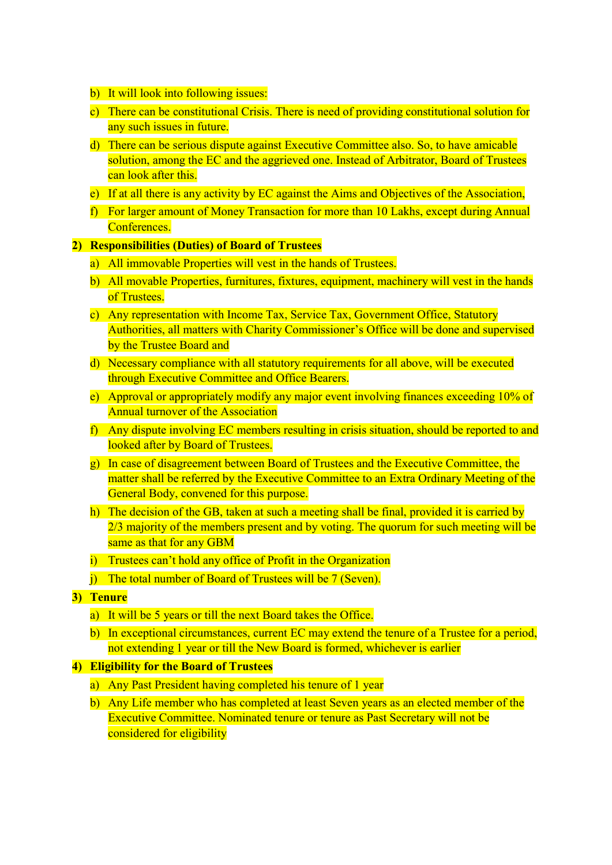- b) It will look into following issues:
- c) There can be constitutional Crisis. There is need of providing constitutional solution for any such issues in future.
- d) There can be serious dispute against Executive Committee also. So, to have amicable solution, among the EC and the aggrieved one. Instead of Arbitrator, Board of Trustees can look after this.
- e) If at all there is any activity by EC against the Aims and Objectives of the Association,
- f) For larger amount of Money Transaction for more than 10 Lakhs, except during Annual Conferences.

#### 2) Responsibilities (Duties) of Board of Trustees

- a) All immovable Properties will vest in the hands of Trustees.
- b) All movable Properties, furnitures, fixtures, equipment, machinery will vest in the hands of Trustees.
- c) Any representation with Income Tax, Service Tax, Government Office, Statutory Authorities, all matters with Charity Commissioner's Office will be done and supervised by the Trustee Board and
- d) Necessary compliance with all statutory requirements for all above, will be executed through Executive Committee and Office Bearers.
- e) Approval or appropriately modify any major event involving finances exceeding 10% of Annual turnover of the Association
- f) Any dispute involving EC members resulting in crisis situation, should be reported to and looked after by Board of Trustees.
- g) In case of disagreement between Board of Trustees and the Executive Committee, the matter shall be referred by the Executive Committee to an Extra Ordinary Meeting of the General Body, convened for this purpose.
- h) The decision of the GB, taken at such a meeting shall be final, provided it is carried by 2/3 majority of the members present and by voting. The quorum for such meeting will be same as that for any GBM
- i) Trustees can't hold any office of Profit in the Organization
- j) The total number of Board of Trustees will be 7 (Seven).
- 3) Tenure
	- a) It will be 5 years or till the next Board takes the Office.
	- b) In exceptional circumstances, current EC may extend the tenure of a Trustee for a period, not extending 1 year or till the New Board is formed, whichever is earlier

# 4) Eligibility for the Board of Trustees

- a) Any Past President having completed his tenure of 1 year
- b) Any Life member who has completed at least Seven years as an elected member of the Executive Committee. Nominated tenure or tenure as Past Secretary will not be considered for eligibility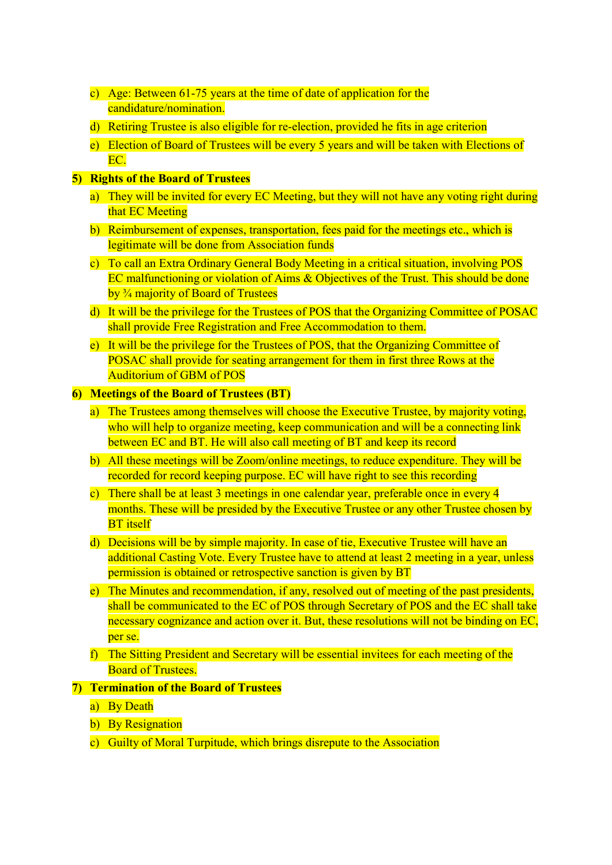- c) Age: Between 61-75 years at the time of date of application for the candidature/nomination.
- d) Retiring Trustee is also eligible for re-election, provided he fits in age criterion
- e) Election of Board of Trustees will be every 5 years and will be taken with Elections of EC.

# 5) Rights of the Board of Trustees

- a) They will be invited for every EC Meeting, but they will not have any voting right during that EC Meeting
- b) Reimbursement of expenses, transportation, fees paid for the meetings etc., which is legitimate will be done from Association funds
- c) To call an Extra Ordinary General Body Meeting in a critical situation, involving POS EC malfunctioning or violation of Aims & Objectives of the Trust. This should be done by ¾ majority of Board of Trustees
- d) It will be the privilege for the Trustees of POS that the Organizing Committee of POSAC shall provide Free Registration and Free Accommodation to them.
- e) It will be the privilege for the Trustees of POS, that the Organizing Committee of POSAC shall provide for seating arrangement for them in first three Rows at the Auditorium of GBM of POS

#### 6) Meetings of the Board of Trustees (BT)

- a) The Trustees among themselves will choose the Executive Trustee, by majority voting, who will help to organize meeting, keep communication and will be a connecting link between EC and BT. He will also call meeting of BT and keep its record
- b) All these meetings will be Zoom/online meetings, to reduce expenditure. They will be recorded for record keeping purpose. EC will have right to see this recording
- c) There shall be at least 3 meetings in one calendar year, preferable once in every 4 months. These will be presided by the Executive Trustee or any other Trustee chosen by **BT** itself
- d) Decisions will be by simple majority. In case of tie, Executive Trustee will have an additional Casting Vote. Every Trustee have to attend at least 2 meeting in a year, unless permission is obtained or retrospective sanction is given by BT
- e) The Minutes and recommendation, if any, resolved out of meeting of the past presidents, shall be communicated to the EC of POS through Secretary of POS and the EC shall take necessary cognizance and action over it. But, these resolutions will not be binding on EC, per se.
- f) The Sitting President and Secretary will be essential invitees for each meeting of the Board of Trustees.

# 7) Termination of the Board of Trustees

- a) By Death
- b) By Resignation
- c) Guilty of Moral Turpitude, which brings disrepute to the Association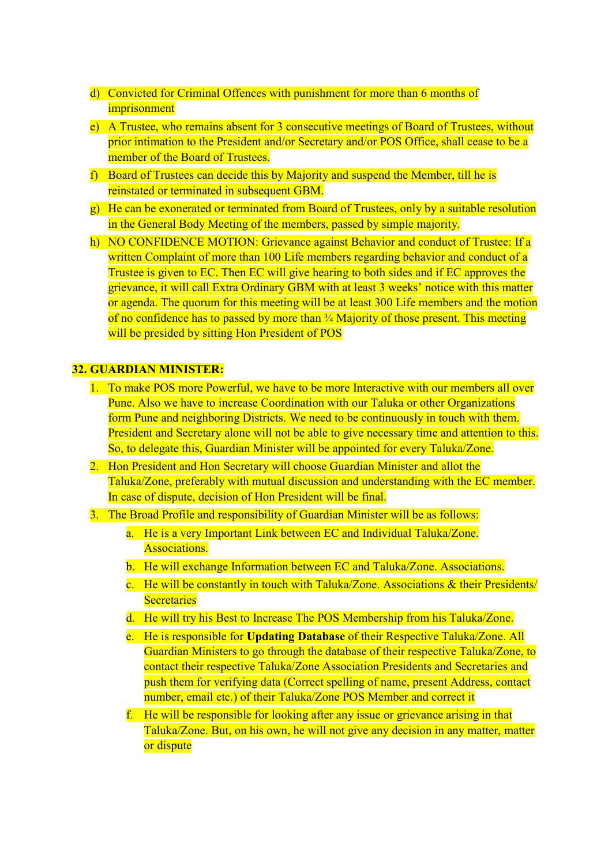- d) Convicted for Criminal Offences with punishment for more than 6 months of imprisonment
- e) A Trustee, who remains absent for 3 consecutive meetings of Board of Trustees, without prior intimation to the President and/or Secretary and/or POS Office, shall cease to be a member of the Board of Trustees.
- f) Board of Trustees can decide this by Majority and suspend the Member, till he is reinstated or terminated in subsequent GBM.
- g) He can be exonerated or terminated from Board of Trustees, only by a suitable resolution in the General Body Meeting of the members, passed by simple majority.
- h) NO CONFIDENCE MOTION: Grievance against Behavior and conduct of Trustee: If a written Complaint of more than 100 Life members regarding behavior and conduct of a Trustee is given to EC. Then EC will give hearing to both sides and if EC approves the grievance, it will call Extra Ordinary GBM with at least 3 weeks' notice with this matter or agenda. The quorum for this meeting will be at least 300 Life members and the motion of no confidence has to passed by more than ¾ Majority of those present. This meeting will be presided by sitting Hon President of POS

#### 32. GUARDIAN MINISTER:

- 1. To make POS more Powerful, we have to be more Interactive with our members all over Pune. Also we have to increase Coordination with our Taluka or other Organizations form Pune and neighboring Districts. We need to be continuously in touch with them. President and Secretary alone will not be able to give necessary time and attention to this. So, to delegate this, Guardian Minister will be appointed for every Taluka/Zone.
- 2. Hon President and Hon Secretary will choose Guardian Minister and allot the Taluka/Zone, preferably with mutual discussion and understanding with the EC member. In case of dispute, decision of Hon President will be final.
- 3. The Broad Profile and responsibility of Guardian Minister will be as follows:
	- a. He is a very Important Link between EC and Individual Taluka/Zone. Associations.
	- b. He will exchange Information between EC and Taluka/Zone. Associations.
	- c. He will be constantly in touch with Taluka/Zone. Associations & their Presidents/ **Secretaries**
	- d. He will try his Best to Increase The POS Membership from his Taluka/Zone.
	- e. He is responsible for Updating Database of their Respective Taluka/Zone. All Guardian Ministers to go through the database of their respective Taluka/Zone, to contact their respective Taluka/Zone Association Presidents and Secretaries and push them for verifying data (Correct spelling of name, present Address, contact number, email etc.) of their Taluka/Zone POS Member and correct it
	- f. He will be responsible for looking after any issue or grievance arising in that Taluka/Zone. But, on his own, he will not give any decision in any matter, matter or dispute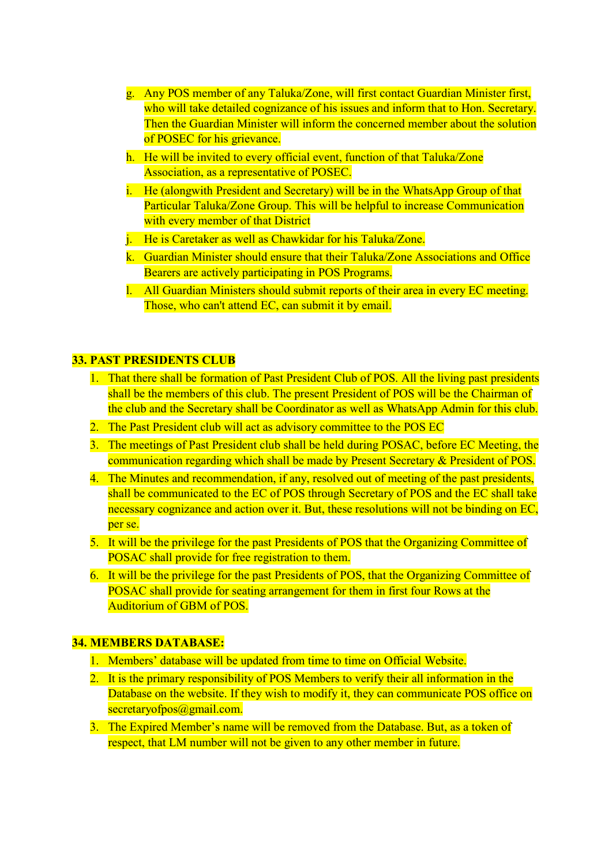- g. Any POS member of any Taluka/Zone, will first contact Guardian Minister first, who will take detailed cognizance of his issues and inform that to Hon. Secretary. Then the Guardian Minister will inform the concerned member about the solution of POSEC for his grievance.
- h. He will be invited to every official event, function of that Taluka/Zone Association, as a representative of POSEC.
- i. He (alongwith President and Secretary) will be in the WhatsApp Group of that Particular Taluka/Zone Group. This will be helpful to increase Communication with every member of that District
- j. He is Caretaker as well as Chawkidar for his Taluka/Zone.
- k. Guardian Minister should ensure that their Taluka/Zone Associations and Office Bearers are actively participating in POS Programs.
- l. All Guardian Ministers should submit reports of their area in every EC meeting. Those, who can't attend EC, can submit it by email.

#### 33. PAST PRESIDENTS CLUB

- 1. That there shall be formation of Past President Club of POS. All the living past presidents shall be the members of this club. The present President of POS will be the Chairman of the club and the Secretary shall be Coordinator as well as WhatsApp Admin for this club.
- 2. The Past President club will act as advisory committee to the POS EC
- 3. The meetings of Past President club shall be held during POSAC, before EC Meeting, the communication regarding which shall be made by Present Secretary & President of POS.
- 4. The Minutes and recommendation, if any, resolved out of meeting of the past presidents, shall be communicated to the EC of POS through Secretary of POS and the EC shall take necessary cognizance and action over it. But, these resolutions will not be binding on EC, per se.
- 5. It will be the privilege for the past Presidents of POS that the Organizing Committee of POSAC shall provide for free registration to them.
- 6. It will be the privilege for the past Presidents of POS, that the Organizing Committee of POSAC shall provide for seating arrangement for them in first four Rows at the Auditorium of GBM of POS.

#### 34. MEMBERS DATABASE:

- 1. Members' database will be updated from time to time on Official Website.
- 2. It is the primary responsibility of POS Members to verify their all information in the Database on the website. If they wish to modify it, they can communicate POS office on secretaryofpos@gmail.com.
- 3. The Expired Member's name will be removed from the Database. But, as a token of respect, that LM number will not be given to any other member in future.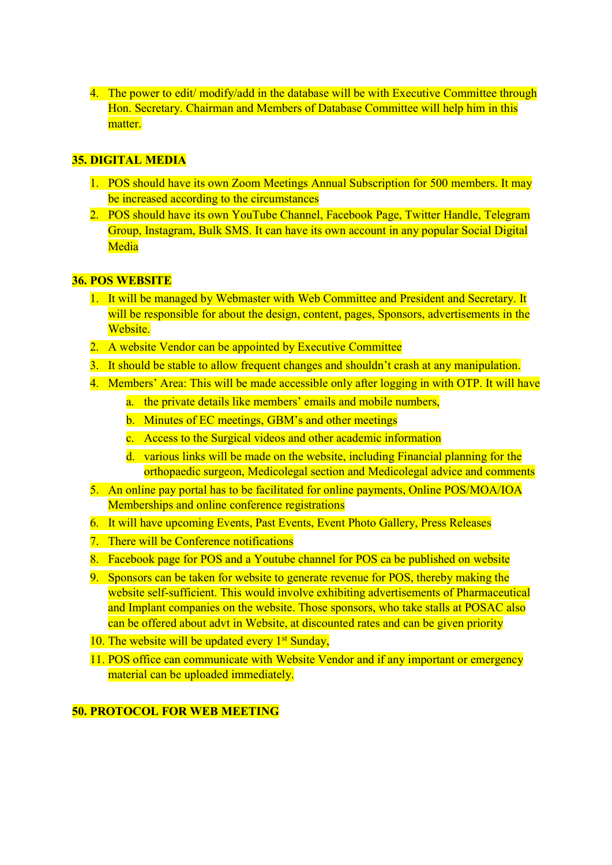4. The power to edit/ modify/add in the database will be with Executive Committee through Hon. Secretary. Chairman and Members of Database Committee will help him in this matter.

# 35. DIGITAL MEDIA

- 1. POS should have its own Zoom Meetings Annual Subscription for 500 members. It may be increased according to the circumstances
- 2. POS should have its own YouTube Channel, Facebook Page, Twitter Handle, Telegram Group, Instagram, Bulk SMS. It can have its own account in any popular Social Digital Media

#### 36. POS WEBSITE

- 1. It will be managed by Webmaster with Web Committee and President and Secretary. It will be responsible for about the design, content, pages, Sponsors, advertisements in the Website.
- 2. A website Vendor can be appointed by Executive Committee
- 3. It should be stable to allow frequent changes and shouldn't crash at any manipulation.
- 4. Members' Area: This will be made accessible only after logging in with OTP. It will have
	- a. the private details like members' emails and mobile numbers,
	- b. Minutes of EC meetings, GBM's and other meetings
	- c. Access to the Surgical videos and other academic information
	- d. various links will be made on the website, including Financial planning for the orthopaedic surgeon, Medicolegal section and Medicolegal advice and comments
- 5. An online pay portal has to be facilitated for online payments, Online POS/MOA/IOA Memberships and online conference registrations
- 6. It will have upcoming Events, Past Events, Event Photo Gallery, Press Releases
- 7. There will be Conference notifications
- 8. Facebook page for POS and a Youtube channel for POS ca be published on website
- 9. Sponsors can be taken for website to generate revenue for POS, thereby making the website self-sufficient. This would involve exhibiting advertisements of Pharmaceutical and Implant companies on the website. Those sponsors, who take stalls at POSAC also can be offered about advt in Website, at discounted rates and can be given priority
- 10. The website will be updated every  $1<sup>st</sup>$  Sunday,
- 11. POS office can communicate with Website Vendor and if any important or emergency material can be uploaded immediately.

# 50. PROTOCOL FOR WEB MEETING